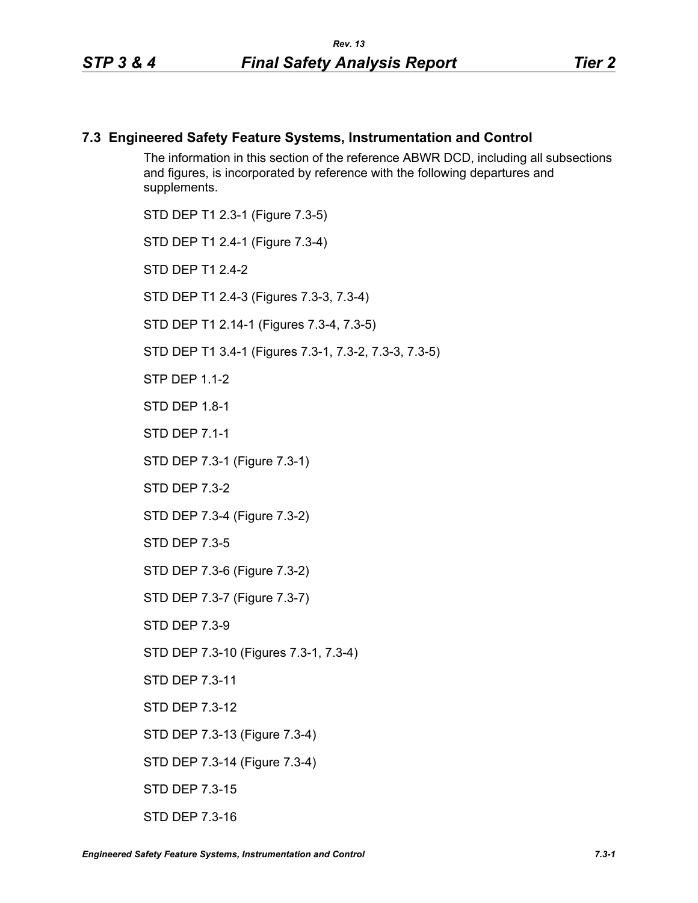## **7.3 Engineered Safety Feature Systems, Instrumentation and Control**

The information in this section of the reference ABWR DCD, including all subsections and figures, is incorporated by reference with the following departures and supplements.

STD DEP T1 2.3-1 (Figure 7.3-5) STD DEP T1 2.4-1 (Figure 7.3-4) STD DFP T1 2 4-2 STD DEP T1 2.4-3 (Figures 7.3-3, 7.3-4) STD DEP T1 2.14-1 (Figures 7.3-4, 7.3-5) STD DEP T1 3.4-1 (Figures 7.3-1, 7.3-2, 7.3-3, 7.3-5) STP DFP 11-2 STD DEP 1.8-1 STD DEP 7.1-1 STD DEP 7.3-1 (Figure 7.3-1) STD DEP 7.3-2 STD DEP 7.3-4 (Figure 7.3-2) STD DEP 7.3-5 STD DEP 7.3-6 (Figure 7.3-2) STD DEP 7.3-7 (Figure 7.3-7) STD DEP 7.3-9 STD DEP 7.3-10 (Figures 7.3-1, 7.3-4) STD DEP 7.3-11 STD DEP 7.3-12 STD DEP 7.3-13 (Figure 7.3-4) STD DEP 7.3-14 (Figure 7.3-4) STD DEP 7.3-15

STD DEP 7.3-16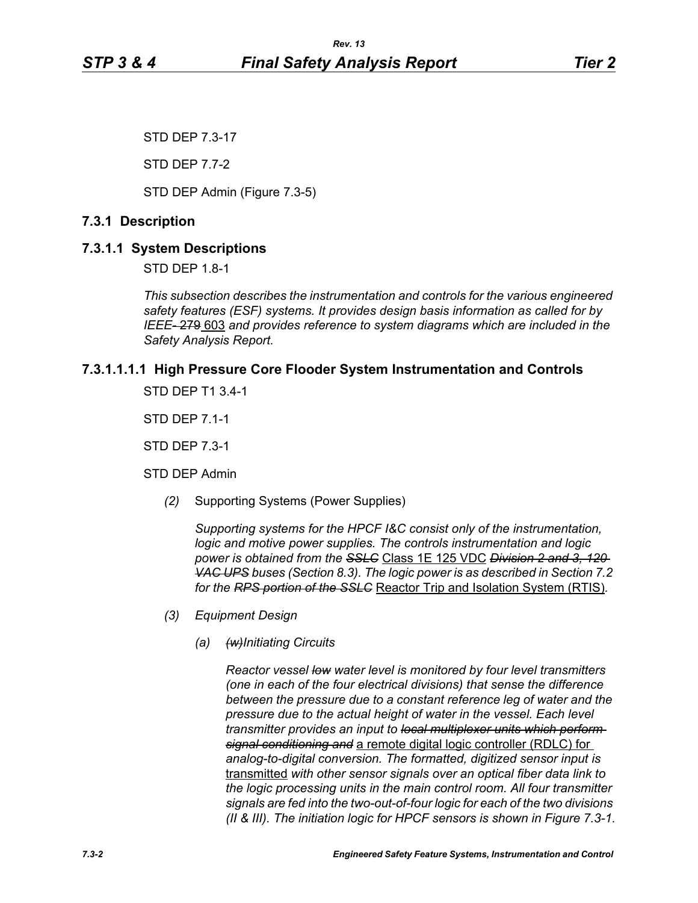STD DEP 7.3-17

STD DEP 7.7-2

STD DEP Admin (Figure 7.3-5)

## **7.3.1 Description**

## **7.3.1.1 System Descriptions**

STD DEP 1.8-1

*This subsection describes the instrumentation and controls for the various engineered safety features (ESF) systems. It provides design basis information as called for by IEEE-* 279 603 *and provides reference to system diagrams which are included in the Safety Analysis Report.*

# **7.3.1.1.1.1 High Pressure Core Flooder System Instrumentation and Controls**

STD DEP T1 3.4-1

STD DEP 7.1-1

STD DEP 7.3-1

STD DEP Admin

*(2)* Supporting Systems (Power Supplies)

*Supporting systems for the HPCF I&C consist only of the instrumentation, logic and motive power supplies. The controls instrumentation and logic power is obtained from the SSLC* Class 1E 125 VDC *Division 2 and 3, 120 VAC UPS buses (Section 8.3). The logic power is as described in Section 7.2 for the RPS portion of the SSLC* Reactor Trip and Isolation System (RTIS)*.*

- *(3) Equipment Design*
	- *(a) (w)Initiating Circuits*

*Reactor vessel low water level is monitored by four level transmitters (one in each of the four electrical divisions) that sense the difference between the pressure due to a constant reference leg of water and the pressure due to the actual height of water in the vessel. Each level transmitter provides an input to local multiplexer units which perform signal conditioning and* a remote digital logic controller (RDLC) for *analog-to-digital conversion. The formatted, digitized sensor input is*  transmitted *with other sensor signals over an optical fiber data link to the logic processing units in the main control room. All four transmitter signals are fed into the two-out-of-four logic for each of the two divisions (II & III). The initiation logic for HPCF sensors is shown in Figure 7.3-1.*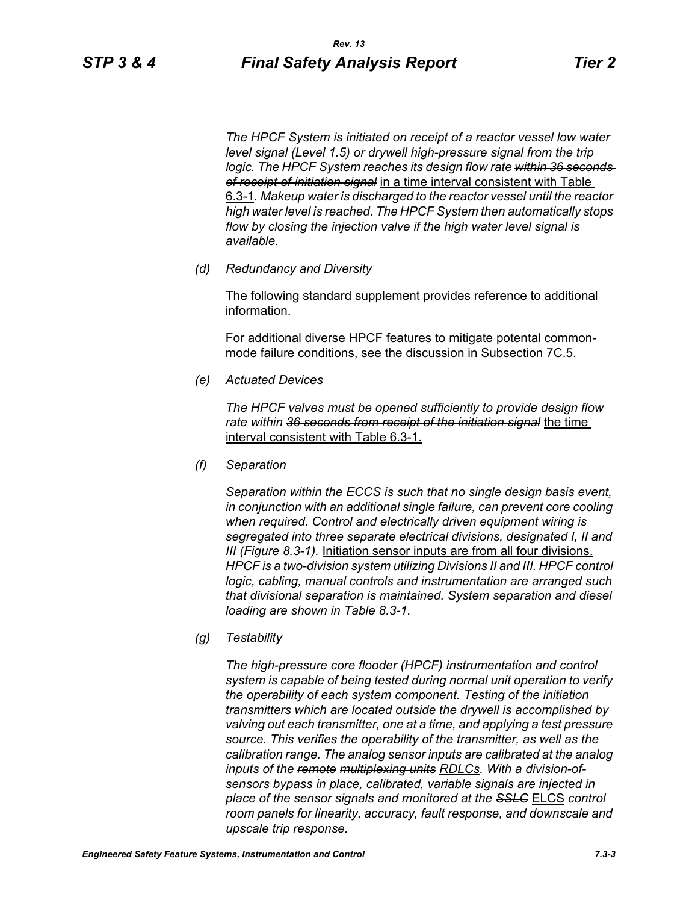*The HPCF System is initiated on receipt of a reactor vessel low water level signal (Level 1.5) or drywell high-pressure signal from the trip*  logic. The HPCF System reaches its design flow rate within 36 seconds *of receipt of initiation signal* in a time interval consistent with Table 6.3-1*. Makeup water is discharged to the reactor vessel until the reactor high water level is reached. The HPCF System then automatically stops flow by closing the injection valve if the high water level signal is available.*

*(d) Redundancy and Diversity*

The following standard supplement provides reference to additional information.

For additional diverse HPCF features to mitigate potental commonmode failure conditions, see the discussion in Subsection 7C.5.

*(e) Actuated Devices*

*The HPCF valves must be opened sufficiently to provide design flow rate within 36 seconds from receipt of the initiation signal* the time interval consistent with Table 6.3-1.

*(f) Separation*

*Separation within the ECCS is such that no single design basis event, in conjunction with an additional single failure, can prevent core cooling when required. Control and electrically driven equipment wiring is segregated into three separate electrical divisions, designated I, II and III (Figure 8.3-1).* Initiation sensor inputs are from all four divisions. *HPCF is a two-division system utilizing Divisions II and III. HPCF control logic, cabling, manual controls and instrumentation are arranged such that divisional separation is maintained. System separation and diesel loading are shown in Table 8.3-1.*

*(g) Testability*

*The high-pressure core flooder (HPCF) instrumentation and control system is capable of being tested during normal unit operation to verify the operability of each system component. Testing of the initiation transmitters which are located outside the drywell is accomplished by valving out each transmitter, one at a time, and applying a test pressure source. This verifies the operability of the transmitter, as well as the calibration range. The analog sensor inputs are calibrated at the analog inputs of the remote multiplexing units RDLCs. With a division-ofsensors bypass in place, calibrated, variable signals are injected in place of the sensor signals and monitored at the SSLC* ELCS *control room panels for linearity, accuracy, fault response, and downscale and upscale trip response.*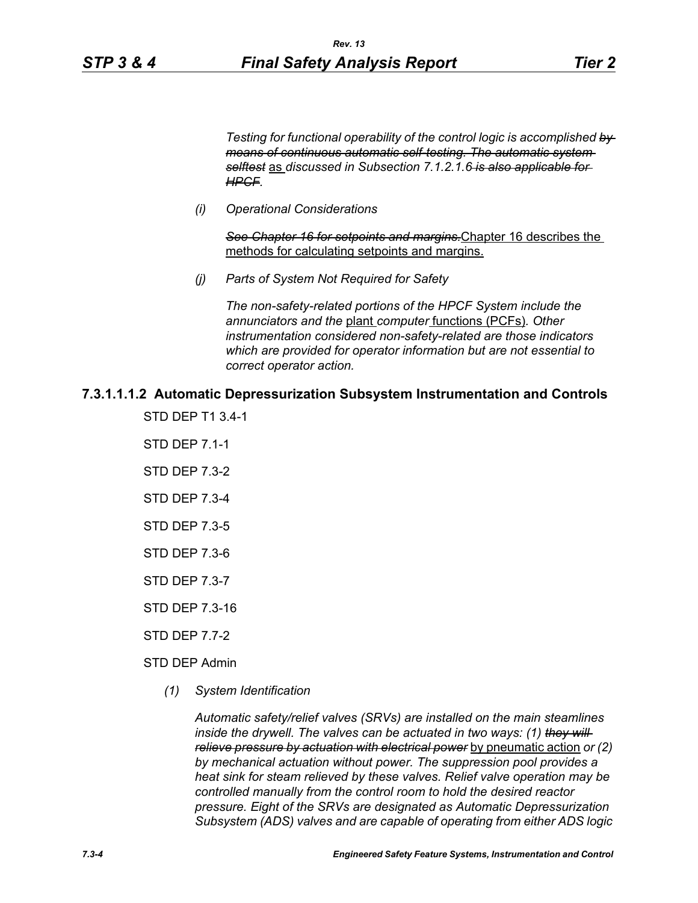*Testing for functional operability of the control logic is accomplished by means of continuous automatic self-testing. The automatic system selftest* as *discussed in Subsection 7.1.2.1.6 is also applicable for HPCF.*

*(i) Operational Considerations*

*See Chapter 16 for setpoints and margins.*Chapter 16 describes the methods for calculating setpoints and margins.

*(j) Parts of System Not Required for Safety*

*The non-safety-related portions of the HPCF System include the annunciators and the* plant *computer* functions (PCFs)*. Other instrumentation considered non-safety-related are those indicators which are provided for operator information but are not essential to correct operator action.*

## **7.3.1.1.1.2 Automatic Depressurization Subsystem Instrumentation and Controls**

- STD DEP T1 3.4-1
- STD DEP 7.1-1
- STD DEP 7.3-2
- STD DEP 7.3-4
- STD DEP 7.3-5
- STD DEP 7.3-6
- STD DEP 7.3-7
- STD DEP 7.3-16
- STD DEP 7.7-2
- STD DEP Admin
	- *(1) System Identification*

*Automatic safety/relief valves (SRVs) are installed on the main steamlines inside the drywell. The valves can be actuated in two ways: (1) they will relieve pressure by actuation with electrical power* by pneumatic action *or (2) by mechanical actuation without power. The suppression pool provides a heat sink for steam relieved by these valves. Relief valve operation may be controlled manually from the control room to hold the desired reactor pressure. Eight of the SRVs are designated as Automatic Depressurization Subsystem (ADS) valves and are capable of operating from either ADS logic*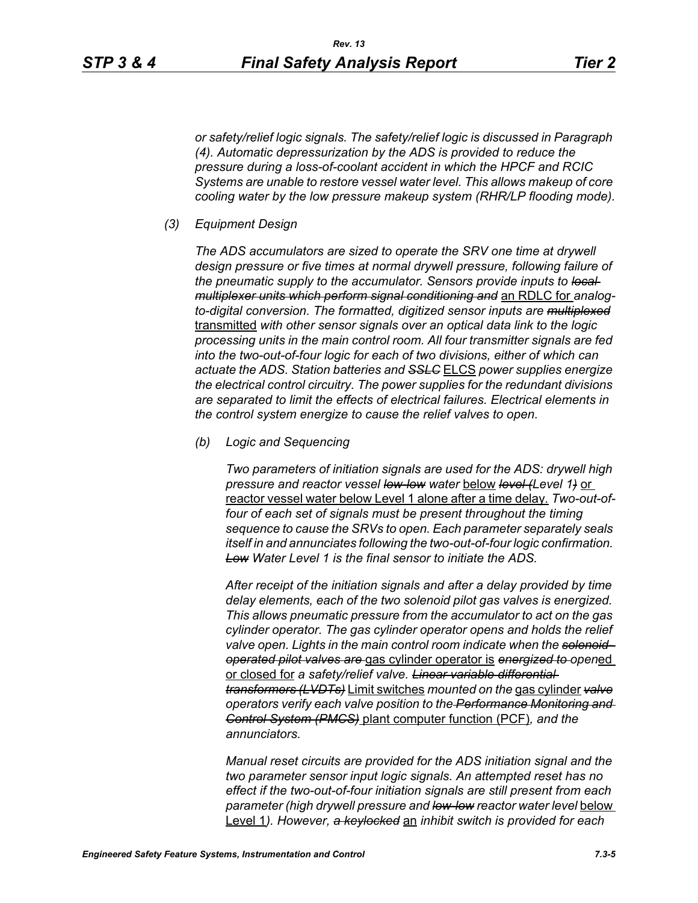*or safety/relief logic signals. The safety/relief logic is discussed in Paragraph (4). Automatic depressurization by the ADS is provided to reduce the pressure during a loss-of-coolant accident in which the HPCF and RCIC Systems are unable to restore vessel water level. This allows makeup of core cooling water by the low pressure makeup system (RHR/LP flooding mode).*

#### *(3) Equipment Design*

*The ADS accumulators are sized to operate the SRV one time at drywell design pressure or five times at normal drywell pressure, following failure of the pneumatic supply to the accumulator. Sensors provide inputs to local multiplexer units which perform signal conditioning and* an RDLC for *analogto-digital conversion. The formatted, digitized sensor inputs are multiplexed* transmitted *with other sensor signals over an optical data link to the logic processing units in the main control room. All four transmitter signals are fed into the two-out-of-four logic for each of two divisions, either of which can actuate the ADS. Station batteries and SSLC* ELCS *power supplies energize the electrical control circuitry. The power supplies for the redundant divisions are separated to limit the effects of electrical failures. Electrical elements in the control system energize to cause the relief valves to open.*

*(b) Logic and Sequencing*

*Two parameters of initiation signals are used for the ADS: drywell high pressure and reactor vessel low-low water* below *level (Level 1)* or reactor vessel water below Level 1 alone after a time delay*. Two-out-offour of each set of signals must be present throughout the timing sequence to cause the SRVs to open. Each parameter separately seals itself in and annunciates following the two-out-of-four logic confirmation. Low Water Level 1 is the final sensor to initiate the ADS.*

*After receipt of the initiation signals and after a delay provided by time delay elements, each of the two solenoid pilot gas valves is energized. This allows pneumatic pressure from the accumulator to act on the gas cylinder operator. The gas cylinder operator opens and holds the relief valve open. Lights in the main control room indicate when the solenoidoperated pilot valves are* gas cylinder operator is *energized to open*ed or closed for *a safety/relief valve. Linear variable differential transformers (LVDTs)* Limit switches *mounted on the* gas cylinder *valve operators verify each valve position to the Performance Monitoring and Control System (PMCS)* plant computer function (PCF)*, and the annunciators.*

*Manual reset circuits are provided for the ADS initiation signal and the two parameter sensor input logic signals. An attempted reset has no effect if the two-out-of-four initiation signals are still present from each parameter (high drywell pressure and low-low reactor water level* below Level 1*). However, a keylocked* an *inhibit switch is provided for each*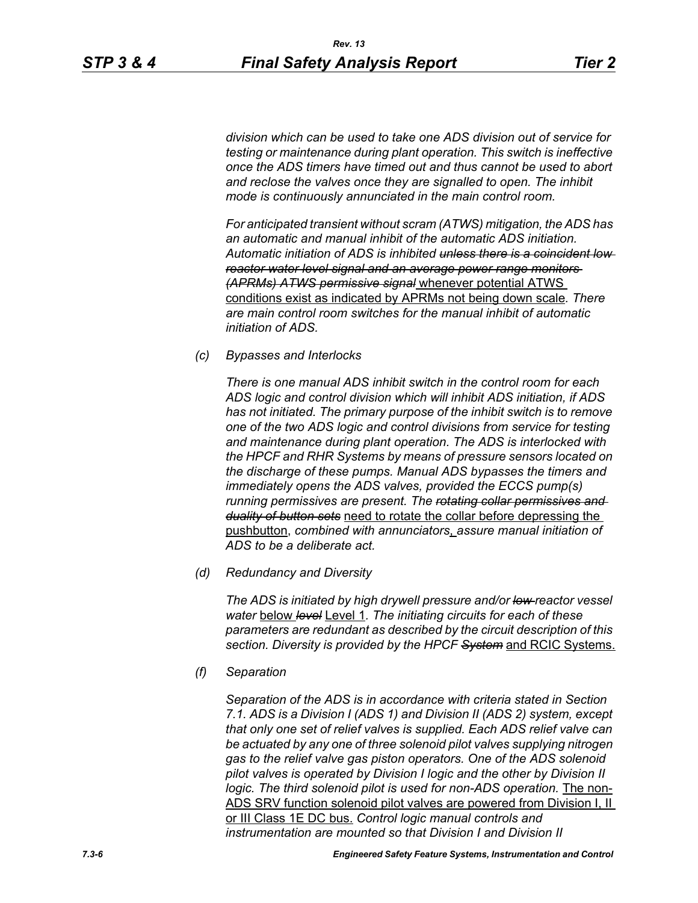*division which can be used to take one ADS division out of service for testing or maintenance during plant operation. This switch is ineffective once the ADS timers have timed out and thus cannot be used to abort and reclose the valves once they are signalled to open. The inhibit mode is continuously annunciated in the main control room.*

*For anticipated transient without scram (ATWS) mitigation, the ADS has an automatic and manual inhibit of the automatic ADS initiation. Automatic initiation of ADS is inhibited unless there is a coincident low reactor water level signal and an average power range monitors (APRMs) ATWS permissive signal* whenever potential ATWS conditions exist as indicated by APRMs not being down scale*. There are main control room switches for the manual inhibit of automatic initiation of ADS.*

*(c) Bypasses and Interlocks*

*There is one manual ADS inhibit switch in the control room for each ADS logic and control division which will inhibit ADS initiation, if ADS has not initiated. The primary purpose of the inhibit switch is to remove one of the two ADS logic and control divisions from service for testing and maintenance during plant operation. The ADS is interlocked with the HPCF and RHR Systems by means of pressure sensors located on the discharge of these pumps. Manual ADS bypasses the timers and immediately opens the ADS valves, provided the ECCS pump(s) running permissives are present. The rotating collar permissives and duality of button sets* need to rotate the collar before depressing the pushbutton, *combined with annunciators*, *assure manual initiation of ADS to be a deliberate act.*

*(d) Redundancy and Diversity*

*The ADS is initiated by high drywell pressure and/or low reactor vessel water* below *level* Level 1*. The initiating circuits for each of these parameters are redundant as described by the circuit description of this section. Diversity is provided by the HPCF System* and RCIC Systems.

*(f) Separation*

*Separation of the ADS is in accordance with criteria stated in Section 7.1. ADS is a Division I (ADS 1) and Division II (ADS 2) system, except that only one set of relief valves is supplied. Each ADS relief valve can be actuated by any one of three solenoid pilot valves supplying nitrogen gas to the relief valve gas piston operators. One of the ADS solenoid pilot valves is operated by Division I logic and the other by Division II*  logic. The third solenoid pilot is used for non-ADS operation. The non-ADS SRV function solenoid pilot valves are powered from Division I, II or III Class 1E DC bus. *Control logic manual controls and instrumentation are mounted so that Division I and Division II*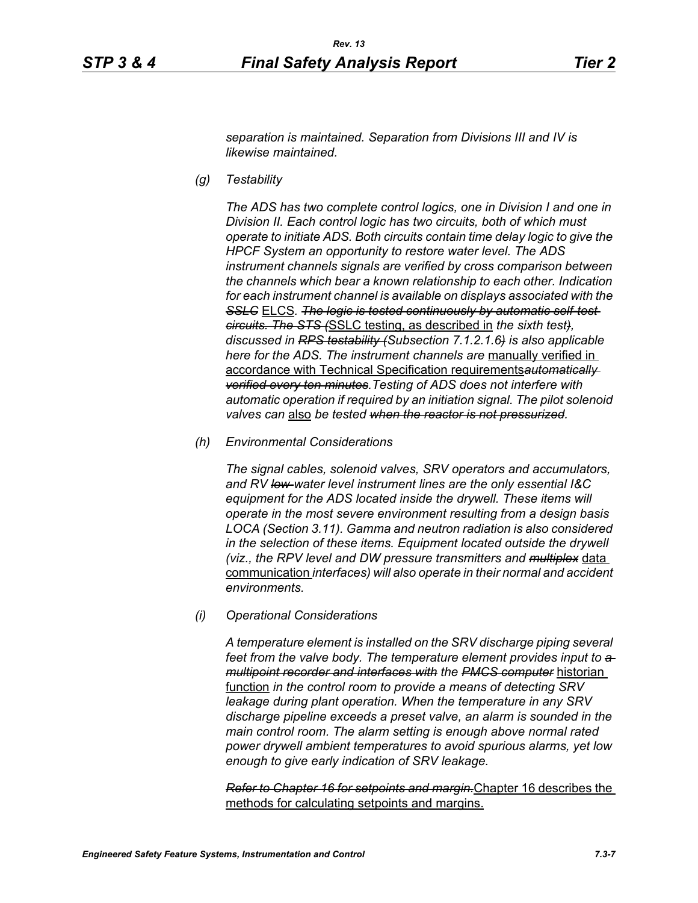*separation is maintained. Separation from Divisions III and IV is likewise maintained.*

*(g) Testability*

*The ADS has two complete control logics, one in Division I and one in Division II. Each control logic has two circuits, both of which must operate to initiate ADS. Both circuits contain time delay logic to give the HPCF System an opportunity to restore water level. The ADS instrument channels signals are verified by cross comparison between the channels which bear a known relationship to each other. Indication for each instrument channel is available on displays associated with the*  **SSLC** ELCS. The logic is tested continuously by automatic self-test*circuits. The STS (*SSLC testing, as described in *the sixth test), discussed in RPS testability (Subsection 7.1.2.1.6) is also applicable here for the ADS. The instrument channels are* manually verified in accordance with Technical Specification requirements*automatically verified every ten minutes.Testing of ADS does not interfere with automatic operation if required by an initiation signal. The pilot solenoid valves can* also *be tested when the reactor is not pressurized.*

*(h) Environmental Considerations*

*The signal cables, solenoid valves, SRV operators and accumulators, and RV low-water level instrument lines are the only essential I&C equipment for the ADS located inside the drywell. These items will operate in the most severe environment resulting from a design basis LOCA (Section 3.11). Gamma and neutron radiation is also considered in the selection of these items. Equipment located outside the drywell (viz., the RPV level and DW pressure transmitters and multiplex* data communication *interfaces) will also operate in their normal and accident environments.*

*(i) Operational Considerations*

*A temperature element is installed on the SRV discharge piping several*  feet from the valve body. The temperature element provides input to  $a$ *multipoint recorder and interfaces with the PMCS computer* historian function *in the control room to provide a means of detecting SRV leakage during plant operation. When the temperature in any SRV discharge pipeline exceeds a preset valve, an alarm is sounded in the main control room. The alarm setting is enough above normal rated power drywell ambient temperatures to avoid spurious alarms, yet low enough to give early indication of SRV leakage.*

*Refer to Chapter 16 for setpoints and margin.*Chapter 16 describes the methods for calculating setpoints and margins.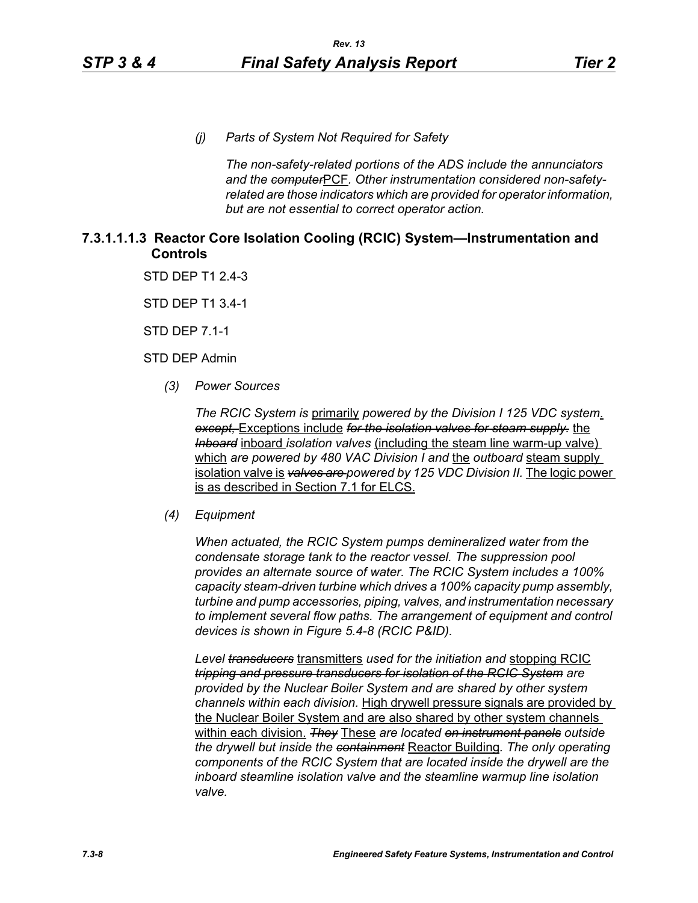*(j) Parts of System Not Required for Safety*

*The non-safety-related portions of the ADS include the annunciators and the computer*PCF*. Other instrumentation considered non-safetyrelated are those indicators which are provided for operator information, but are not essential to correct operator action.*

# **7.3.1.1.1.3 Reactor Core Isolation Cooling (RCIC) System—Instrumentation and Controls**

STD DEP T1 2.4-3

STD DEP T1 3.4-1

STD DEP 7.1-1

STD DEP Admin

*(3) Power Sources*

*The RCIC System is* primarily *powered by the Division I 125 VDC system*. *except,* Exceptions include *for the isolation valves for steam supply.* the *Inboard* inboard *isolation valves* (including the steam line warm-up valve) which *are powered by 480 VAC Division I and* the *outboard* steam supply isolation valve is *valves are powered by 125 VDC Division II.* The logic power is as described in Section 7.1 for ELCS.

#### *(4) Equipment*

*When actuated, the RCIC System pumps demineralized water from the condensate storage tank to the reactor vessel. The suppression pool provides an alternate source of water. The RCIC System includes a 100% capacity steam-driven turbine which drives a 100% capacity pump assembly, turbine and pump accessories, piping, valves, and instrumentation necessary to implement several flow paths. The arrangement of equipment and control devices is shown in Figure 5.4-8 (RCIC P&ID).*

*Level transducers* transmitters *used for the initiation and* stopping RCIC *tripping and pressure transducers for isolation of the RCIC System are provided by the Nuclear Boiler System and are shared by other system channels within each division.* High drywell pressure signals are provided by the Nuclear Boiler System and are also shared by other system channels within each division. *They* These *are located on instrument panels outside the drywell but inside the containment* Reactor Building*. The only operating components of the RCIC System that are located inside the drywell are the inboard steamline isolation valve and the steamline warmup line isolation valve.*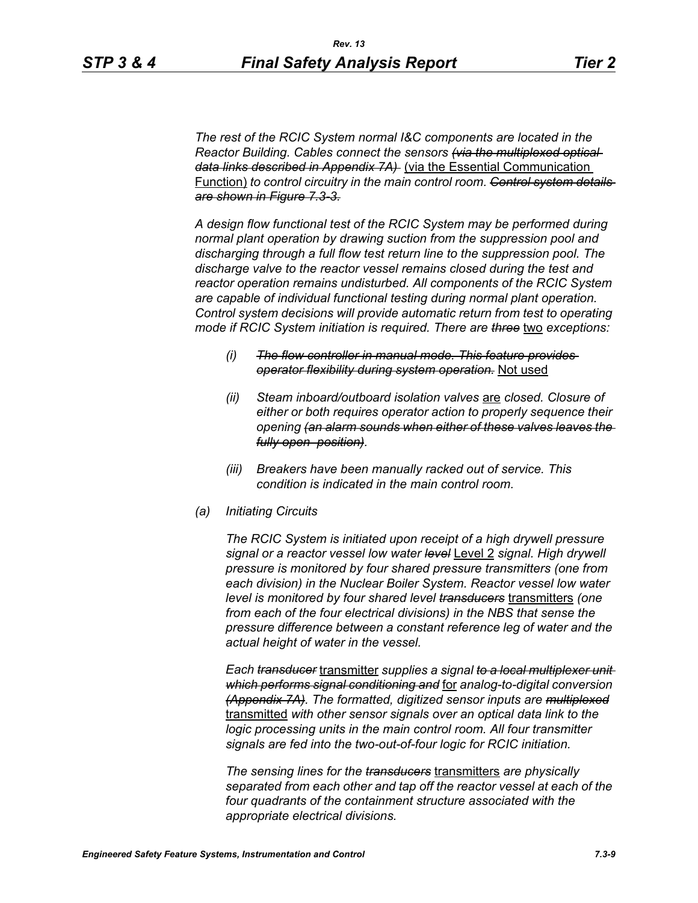*The rest of the RCIC System normal I&C components are located in the Reactor Building. Cables connect the sensors (via the multiplexed optical data links described in Appendix 7A)* (via the Essential Communication Function) *to control circuitry in the main control room. Control system details are shown in Figure 7.3-3.*

*A design flow functional test of the RCIC System may be performed during normal plant operation by drawing suction from the suppression pool and discharging through a full flow test return line to the suppression pool. The discharge valve to the reactor vessel remains closed during the test and reactor operation remains undisturbed. All components of the RCIC System are capable of individual functional testing during normal plant operation. Control system decisions will provide automatic return from test to operating mode if RCIC System initiation is required. There are three* two *exceptions:*

- *(i) The flow controller in manual mode. This feature provides operator flexibility during system operation.* Not used
- *(ii) Steam inboard/outboard isolation valves* are *closed. Closure of either or both requires operator action to properly sequence their opening (an alarm sounds when either of these valves leaves the fully open position).*
- *(iii) Breakers have been manually racked out of service. This condition is indicated in the main control room.*
- *(a) Initiating Circuits*

*The RCIC System is initiated upon receipt of a high drywell pressure signal or a reactor vessel low water level* Level 2 *signal. High drywell pressure is monitored by four shared pressure transmitters (one from each division) in the Nuclear Boiler System. Reactor vessel low water level is monitored by four shared level transducers* transmitters *(one from each of the four electrical divisions) in the NBS that sense the pressure difference between a constant reference leg of water and the actual height of water in the vessel.*

*Each transducer* transmitter *supplies a signal to a local multiplexer unit which performs signal conditioning and* for *analog-to-digital conversion (Appendix 7A). The formatted, digitized sensor inputs are multiplexed* transmitted *with other sensor signals over an optical data link to the logic processing units in the main control room. All four transmitter signals are fed into the two-out-of-four logic for RCIC initiation.*

*The sensing lines for the transducers* transmitters *are physically separated from each other and tap off the reactor vessel at each of the four quadrants of the containment structure associated with the appropriate electrical divisions.*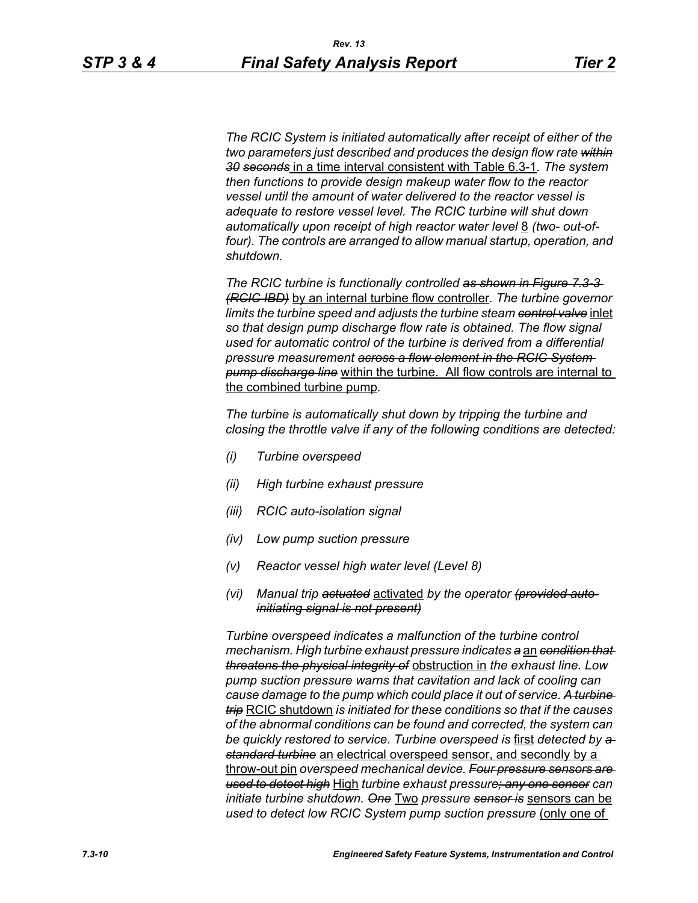*The RCIC System is initiated automatically after receipt of either of the two parameters just described and produces the design flow rate within 30 seconds* in a time interval consistent with Table 6.3-1*. The system then functions to provide design makeup water flow to the reactor vessel until the amount of water delivered to the reactor vessel is adequate to restore vessel level. The RCIC turbine will shut down*  automatically upon receipt of high reactor water level 8 *(two- out-of*four). The controls are arranged to allow manual startup, operation, and *shutdown.*

*The RCIC turbine is functionally controlled as shown in Figure 7.3-3 (RCIC IBD)* by an internal turbine flow controller*. The turbine governor limits the turbine speed and adjusts the turbine steam control valve* inlet *so that design pump discharge flow rate is obtained. The flow signal used for automatic control of the turbine is derived from a differential pressure measurement across a flow element in the RCIC System pump discharge line* within the turbine. All flow controls are internal to the combined turbine pump*.*

*The turbine is automatically shut down by tripping the turbine and closing the throttle valve if any of the following conditions are detected:*

- *(i) Turbine overspeed*
- *(ii) High turbine exhaust pressure*
- *(iii) RCIC auto-isolation signal*
- *(iv) Low pump suction pressure*
- *(v) Reactor vessel high water level (Level 8)*
- *(vi) Manual trip actuated* activated *by the operator (provided autoinitiating signal is not present)*

*Turbine overspeed indicates a malfunction of the turbine control mechanism. High turbine exhaust pressure indicates a* an *condition that threatens the physical integrity of* obstruction in *the exhaust line. Low pump suction pressure warns that cavitation and lack of cooling can cause damage to the pump which could place it out of service. A turbine trip* RCIC shutdown *is initiated for these conditions so that if the causes of the abnormal conditions can be found and corrected, the system can be quickly restored to service. Turbine overspeed is* first *detected by a standard turbine* an electrical overspeed sensor, and secondly by a throw-out pin *overspeed mechanical device. Four pressure sensors are used to detect high* High *turbine exhaust pressure; any one sensor can initiate turbine shutdown. One* Two *pressure sensor is* sensors can be *used to detect low RCIC System pump suction pressure (only one of*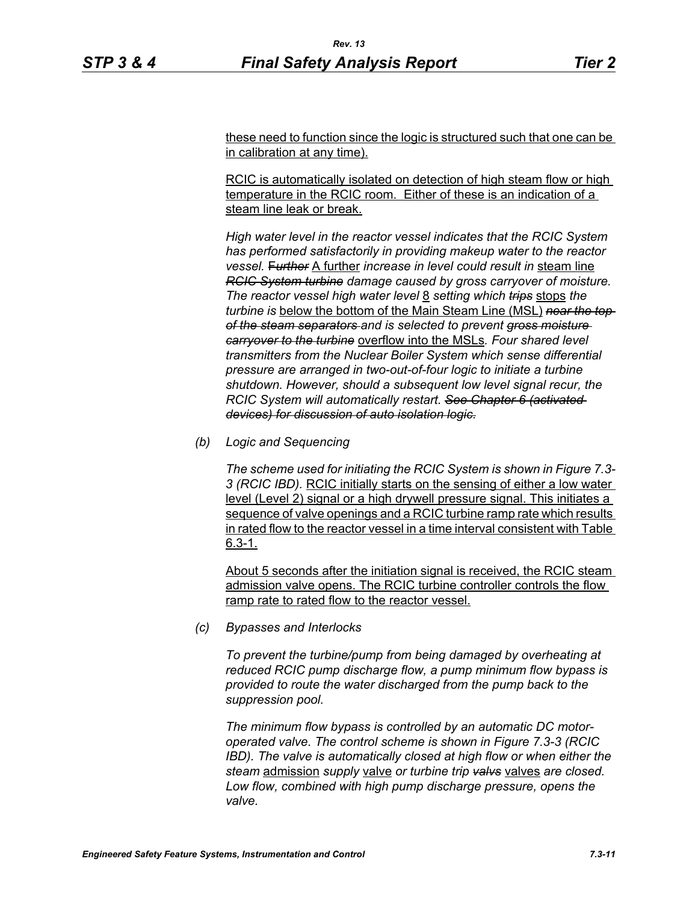these need to function since the logic is structured such that one can be in calibration at any time).

RCIC is automatically isolated on detection of high steam flow or high temperature in the RCIC room. Either of these is an indication of a steam line leak or break.

*High water level in the reactor vessel indicates that the RCIC System has performed satisfactorily in providing makeup water to the reactor vessel.* F*urther* A further *increase in level could result in* steam line *RCIC System turbine damage caused by gross carryover of moisture. The reactor vessel high water level* 8 *setting which trips* stops *the turbine is* below the bottom of the Main Steam Line (MSL) *near the top of the steam separators and is selected to prevent gross moisture carryover to the turbine* overflow into the MSLs*. Four shared level transmitters from the Nuclear Boiler System which sense differential pressure are arranged in two-out-of-four logic to initiate a turbine shutdown. However, should a subsequent low level signal recur, the RCIC System will automatically restart. See Chapter 6 (activated devices) for discussion of auto isolation logic.*

*(b) Logic and Sequencing*

*The scheme used for initiating the RCIC System is shown in Figure 7.3- 3 (RCIC IBD).* RCIC initially starts on the sensing of either a low water level (Level 2) signal or a high drywell pressure signal. This initiates a sequence of valve openings and a RCIC turbine ramp rate which results in rated flow to the reactor vessel in a time interval consistent with Table 6.3-1.

About 5 seconds after the initiation signal is received, the RCIC steam admission valve opens. The RCIC turbine controller controls the flow ramp rate to rated flow to the reactor vessel.

*(c) Bypasses and Interlocks*

*To prevent the turbine/pump from being damaged by overheating at reduced RCIC pump discharge flow, a pump minimum flow bypass is provided to route the water discharged from the pump back to the suppression pool.*

*The minimum flow bypass is controlled by an automatic DC motoroperated valve. The control scheme is shown in Figure 7.3-3 (RCIC IBD). The valve is automatically closed at high flow or when either the steam* admission *supply* valve *or turbine trip valvs* valves *are closed. Low flow, combined with high pump discharge pressure, opens the valve.*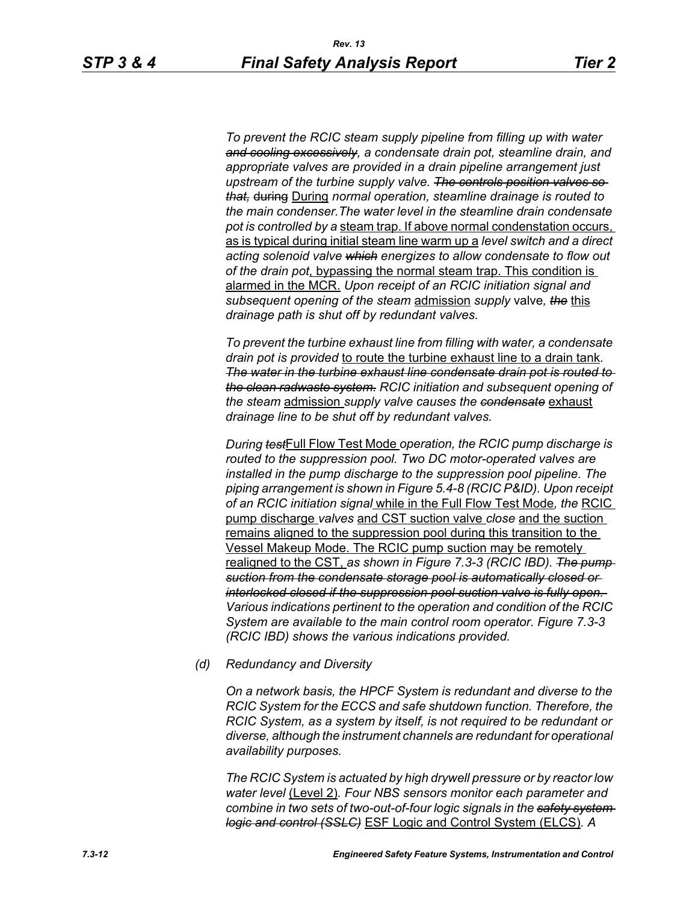*To prevent the RCIC steam supply pipeline from filling up with water and cooling excessively, a condensate drain pot, steamline drain, and appropriate valves are provided in a drain pipeline arrangement just upstream of the turbine supply valve. The controls position valves so that,* during During *normal operation, steamline drainage is routed to the main condenser.The water level in the steamline drain condensate pot is controlled by a* steam trap. If above normal condenstation occurs, as is typical during initial steam line warm up a *level switch and a direct acting solenoid valve which energizes to allow condensate to flow out of the drain pot*, bypassing the normal steam trap. This condition is alarmed in the MCR. *Upon receipt of an RCIC initiation signal and subsequent opening of the steam* admission *supply* valve*, the* this *drainage path is shut off by redundant valves.*

*To prevent the turbine exhaust line from filling with water, a condensate drain pot is provided* to route the turbine exhaust line to a drain tank*. The water in the turbine exhaust line condensate drain pot is routed to the clean radwaste system. RCIC initiation and subsequent opening of the steam* admission *supply valve causes the condensate* exhaust *drainage line to be shut off by redundant valves.*

*During test*Full Flow Test Mode *operation, the RCIC pump discharge is routed to the suppression pool. Two DC motor-operated valves are installed in the pump discharge to the suppression pool pipeline. The piping arrangement is shown in Figure 5.4-8 (RCIC P&ID). Upon receipt of an RCIC initiation signal* while in the Full Flow Test Mode*, the* RCIC pump discharge *valves* and CST suction valve *close* and the suction remains aligned to the suppression pool during this transition to the Vessel Makeup Mode. The RCIC pump suction may be remotely realigned to the CST, *as shown in Figure 7.3-3 (RCIC IBD). The pump suction from the condensate storage pool is automatically closed or interlocked closed if the suppression pool suction valve is fully open. Various indications pertinent to the operation and condition of the RCIC System are available to the main control room operator. Figure 7.3-3 (RCIC IBD) shows the various indications provided.*

*(d) Redundancy and Diversity*

*On a network basis, the HPCF System is redundant and diverse to the RCIC System for the ECCS and safe shutdown function. Therefore, the RCIC System, as a system by itself, is not required to be redundant or diverse, although the instrument channels are redundant for operational availability purposes.*

*The RCIC System is actuated by high drywell pressure or by reactor low water level* (Level 2)*. Four NBS sensors monitor each parameter and combine in two sets of two-out-of-four logic signals in the safety system logic and control (SSLC)* ESF Logic and Control System (ELCS)*. A*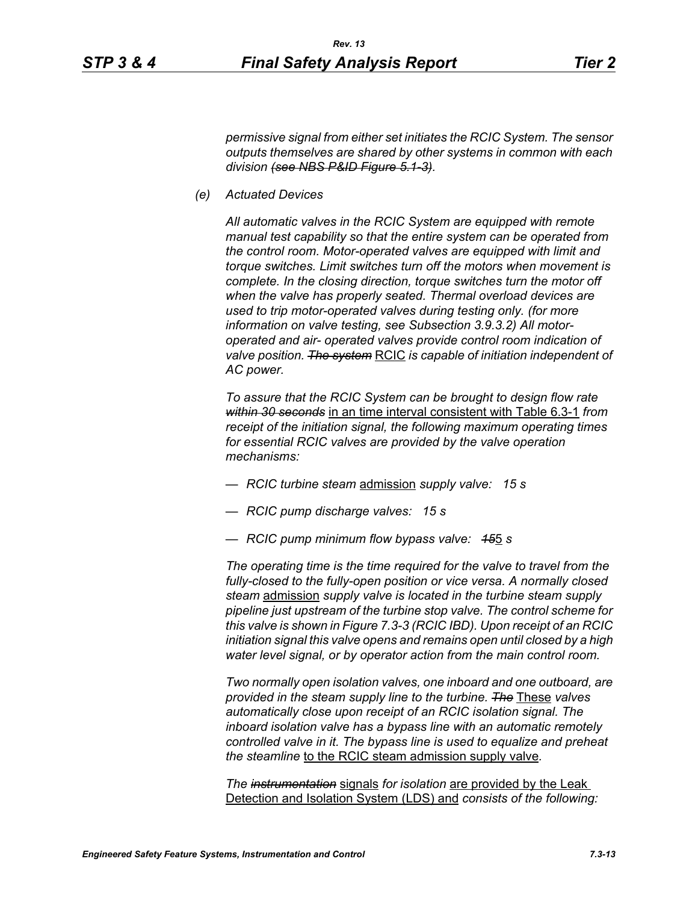*permissive signal from either set initiates the RCIC System. The sensor outputs themselves are shared by other systems in common with each division (see NBS P&ID Figure 5.1-3).*

*(e) Actuated Devices*

*All automatic valves in the RCIC System are equipped with remote manual test capability so that the entire system can be operated from the control room. Motor-operated valves are equipped with limit and torque switches. Limit switches turn off the motors when movement is complete. In the closing direction, torque switches turn the motor off when the valve has properly seated. Thermal overload devices are used to trip motor-operated valves during testing only. (for more information on valve testing, see Subsection 3.9.3.2) All motoroperated and air- operated valves provide control room indication of valve position. The system* RCIC *is capable of initiation independent of AC power.*

*To assure that the RCIC System can be brought to design flow rate within 30 seconds* in an time interval consistent with Table 6.3-1 *from receipt of the initiation signal, the following maximum operating times for essential RCIC valves are provided by the valve operation mechanisms:*

- *RCIC turbine steam* admission *supply valve: 15 s*
- *RCIC pump discharge valves: 15 s*
- *RCIC pump minimum flow bypass valve: 15*5 *s*

*The operating time is the time required for the valve to travel from the fully-closed to the fully-open position or vice versa. A normally closed steam* admission *supply valve is located in the turbine steam supply pipeline just upstream of the turbine stop valve. The control scheme for this valve is shown in Figure 7.3-3 (RCIC IBD). Upon receipt of an RCIC initiation signal this valve opens and remains open until closed by a high water level signal, or by operator action from the main control room.*

*Two normally open isolation valves, one inboard and one outboard, are provided in the steam supply line to the turbine. The* These *valves automatically close upon receipt of an RCIC isolation signal. The inboard isolation valve has a bypass line with an automatic remotely controlled valve in it. The bypass line is used to equalize and preheat the steamline* to the RCIC steam admission supply valve*.*

*The instrumentation* signals *for isolation* are provided by the Leak Detection and Isolation System (LDS) and *consists of the following:*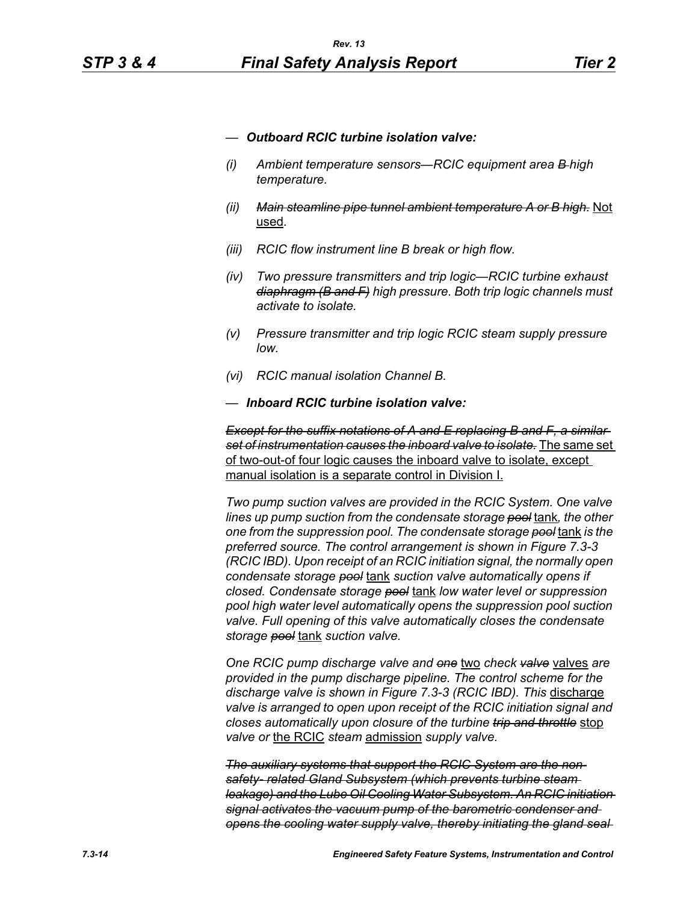- *— Outboard RCIC turbine isolation valve:*
- *(i) Ambient temperature sensors—RCIC equipment area B high temperature.*
- *(ii) Main steamline pipe tunnel ambient temperature A or B high.* Not used*.*
- *(iii) RCIC flow instrument line B break or high flow.*
- *(iv) Two pressure transmitters and trip logic—RCIC turbine exhaust diaphragm (B and F) high pressure. Both trip logic channels must activate to isolate.*
- *(v) Pressure transmitter and trip logic RCIC steam supply pressure low.*
- *(vi) RCIC manual isolation Channel B.*
- *— Inboard RCIC turbine isolation valve:*

*Except for the suffix notations of A and E replacing B and F, a similar set of instrumentation causes the inboard valve to isolate.* The same set of two-out-of four logic causes the inboard valve to isolate, except manual isolation is a separate control in Division I.

*Two pump suction valves are provided in the RCIC System. One valve lines up pump suction from the condensate storage pool* tank*, the other one from the suppression pool. The condensate storage pool* tank *is the preferred source. The control arrangement is shown in Figure 7.3-3 (RCIC IBD). Upon receipt of an RCIC initiation signal, the normally open condensate storage pool* tank *suction valve automatically opens if closed. Condensate storage pool* tank *low water level or suppression pool high water level automatically opens the suppression pool suction valve. Full opening of this valve automatically closes the condensate storage pool* tank *suction valve.*

*One RCIC pump discharge valve and one* two *check valve* valves *are provided in the pump discharge pipeline. The control scheme for the*  discharge valve is shown in Figure 7.3-3 (RCIC IBD). This discharge *valve is arranged to open upon receipt of the RCIC initiation signal and closes automatically upon closure of the turbine trip and throttle* stop *valve or* the RCIC *steam* admission *supply valve.*

*The auxiliary systems that support the RCIC System are the nonsafety- related Gland Subsystem (which prevents turbine steam leakage) and the Lube Oil Cooling Water Subsystem. An RCIC initiation signal activates the vacuum pump of the barometric condenser and opens the cooling water supply valve, thereby initiating the gland seal*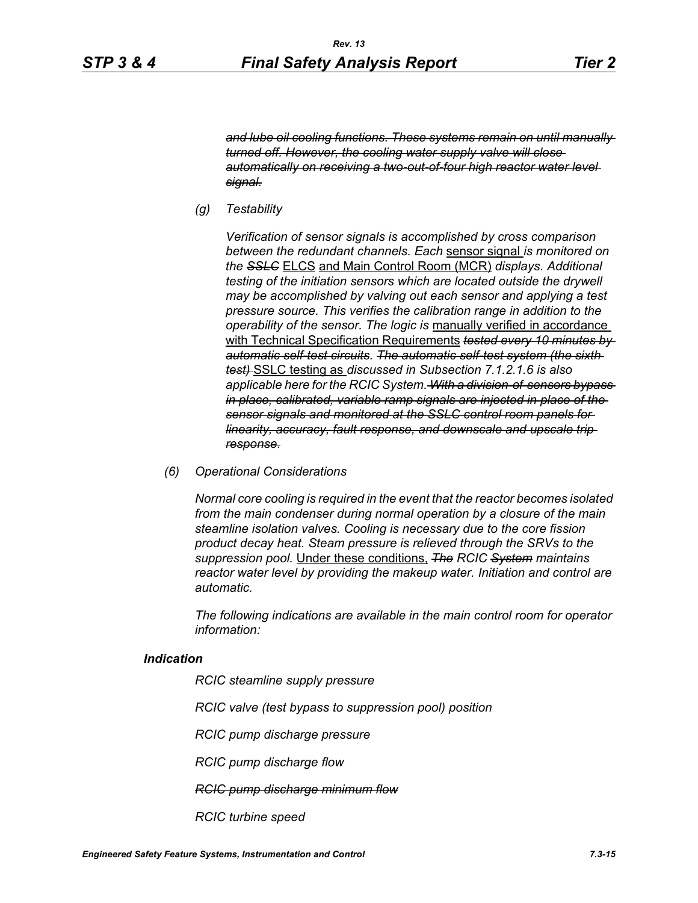*and lube oil cooling functions. These systems remain on until manually turned off. However, the cooling water supply valve will close automatically on receiving a two-out-of-four high reactor water level signal.*

*(g) Testability*

*Verification of sensor signals is accomplished by cross comparison between the redundant channels. Each* sensor signal *is monitored on the SSLC* ELCS and Main Control Room (MCR) *displays. Additional testing of the initiation sensors which are located outside the drywell may be accomplished by valving out each sensor and applying a test pressure source. This verifies the calibration range in addition to the operability of the sensor. The logic is* manually verified in accordance with Technical Specification Requirements *tested every 10 minutes by automatic self-test circuits. The automatic self-test system (the sixth test)* SSLC testing as *discussed in Subsection 7.1.2.1.6 is also applicable here for the RCIC System. With a division-of-sensors bypass in place, calibrated, variable ramp signals are injected in place of the sensor signals and monitored at the SSLC control room panels for linearity, accuracy, fault response, and downscale and upscale trip response.*

*(6) Operational Considerations*

*Normal core cooling is required in the event that the reactor becomes isolated from the main condenser during normal operation by a closure of the main steamline isolation valves. Cooling is necessary due to the core fission product decay heat. Steam pressure is relieved through the SRVs to the suppression pool.* Under these conditions, *The RCIC System maintains reactor water level by providing the makeup water. Initiation and control are automatic.*

*The following indications are available in the main control room for operator information:*

#### *Indication*

*RCIC steamline supply pressure*

*RCIC valve (test bypass to suppression pool) position*

*RCIC pump discharge pressure*

*RCIC pump discharge flow*

*RCIC pump discharge minimum flow*

*RCIC turbine speed*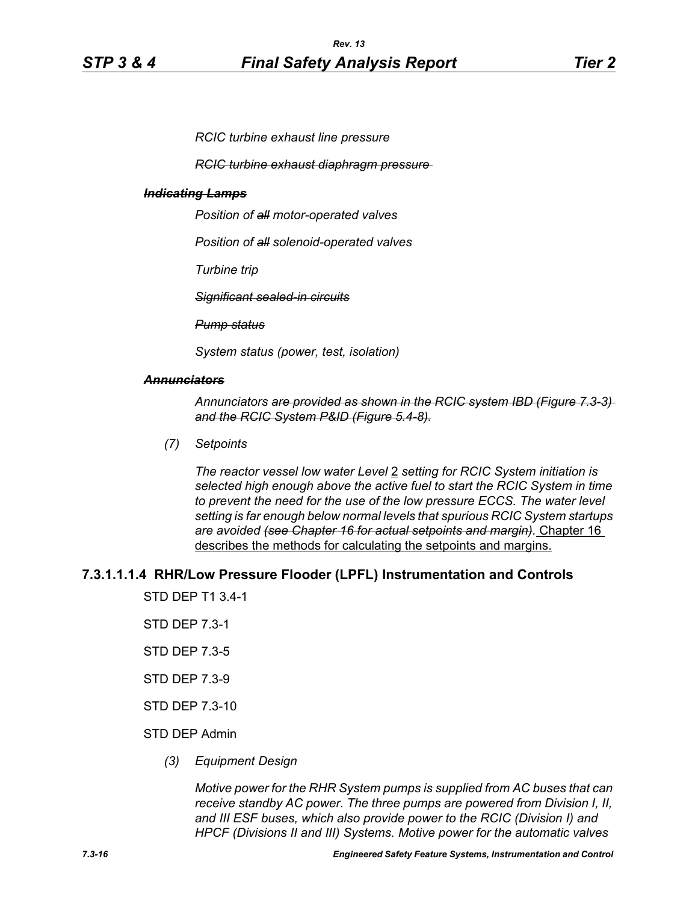*RCIC turbine exhaust line pressure*

*RCIC turbine exhaust diaphragm pressure* 

#### *Indicating Lamps*

*Position of all motor-operated valves*

*Position of all solenoid-operated valves*

*Turbine trip*

*Significant sealed-in circuits*

*Pump status*

*System status (power, test, isolation)*

#### *Annunciators*

*Annunciators are provided as shown in the RCIC system IBD (Figure 7.3-3) and the RCIC System P&ID (Figure 5.4-8).*

*(7) Setpoints*

*The reactor vessel low water Level* 2 *setting for RCIC System initiation is selected high enough above the active fuel to start the RCIC System in time to prevent the need for the use of the low pressure ECCS. The water level setting is far enough below normal levels that spurious RCIC System startups are avoided (see Chapter 16 for actual setpoints and margin).* Chapter 16 describes the methods for calculating the setpoints and margins.

## **7.3.1.1.1.4 RHR/Low Pressure Flooder (LPFL) Instrumentation and Controls**

STD DEP T1 3.4-1

- STD DEP 7.3-1
- STD DEP 7.3-5
- STD DEP 7.3-9
- STD DEP 7.3-10

#### STD DEP Admin

*(3) Equipment Design*

*Motive power for the RHR System pumps is supplied from AC buses that can receive standby AC power. The three pumps are powered from Division I, II, and III ESF buses, which also provide power to the RCIC (Division I) and HPCF (Divisions II and III) Systems. Motive power for the automatic valves*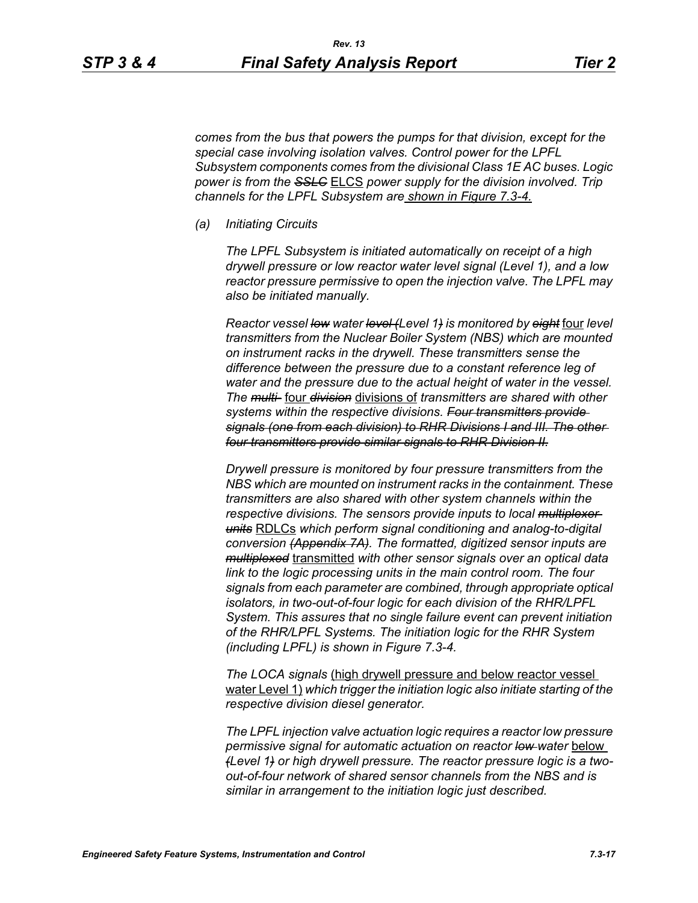*comes from the bus that powers the pumps for that division, except for the special case involving isolation valves. Control power for the LPFL Subsystem components comes from the divisional Class 1E AC buses. Logic power is from the SSLC* ELCS *power supply for the division involved. Trip channels for the LPFL Subsystem are shown in Figure 7.3-4.*

*(a) Initiating Circuits*

*The LPFL Subsystem is initiated automatically on receipt of a high drywell pressure or low reactor water level signal (Level 1), and a low reactor pressure permissive to open the injection valve. The LPFL may also be initiated manually.*

*Reactor vessel low water level (Level 1) is monitored by eight* four *level transmitters from the Nuclear Boiler System (NBS) which are mounted on instrument racks in the drywell. These transmitters sense the difference between the pressure due to a constant reference leg of water and the pressure due to the actual height of water in the vessel. The multi-* four *division* divisions of *transmitters are shared with other systems within the respective divisions. Four transmitters provide signals (one from each division) to RHR Divisions I and III. The other four transmitters provide similar signals to RHR Division II.*

*Drywell pressure is monitored by four pressure transmitters from the NBS which are mounted on instrument racks in the containment. These transmitters are also shared with other system channels within the respective divisions. The sensors provide inputs to local multiplexer units* RDLCs *which perform signal conditioning and analog-to-digital conversion (Appendix 7A). The formatted, digitized sensor inputs are multiplexed* transmitted *with other sensor signals over an optical data link to the logic processing units in the main control room. The four signals from each parameter are combined, through appropriate optical isolators, in two-out-of-four logic for each division of the RHR/LPFL System. This assures that no single failure event can prevent initiation of the RHR/LPFL Systems. The initiation logic for the RHR System (including LPFL) is shown in Figure 7.3-4.*

*The LOCA signals* (high drywell pressure and below reactor vessel water Level 1) *which trigger the initiation logic also initiate starting of the respective division diesel generator.*

*The LPFL injection valve actuation logic requires a reactor low pressure permissive signal for automatic actuation on reactor low water* below *(Level 1) or high drywell pressure. The reactor pressure logic is a twoout-of-four network of shared sensor channels from the NBS and is similar in arrangement to the initiation logic just described.*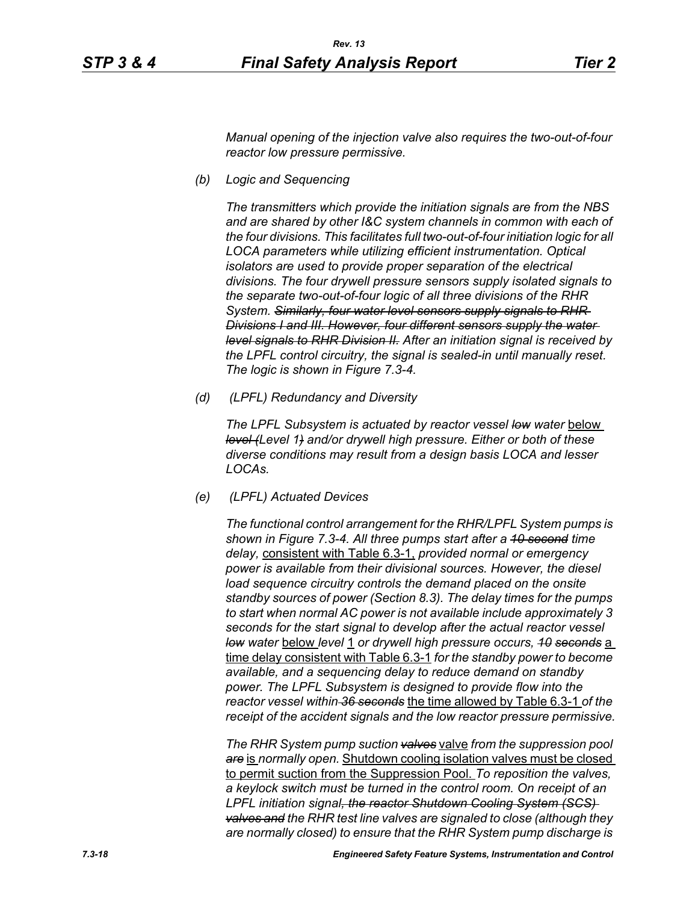*Manual opening of the injection valve also requires the two-out-of-four reactor low pressure permissive.*

*(b) Logic and Sequencing*

*The transmitters which provide the initiation signals are from the NBS and are shared by other I&C system channels in common with each of the four divisions. This facilitates full two-out-of-four initiation logic for all LOCA parameters while utilizing efficient instrumentation. Optical isolators are used to provide proper separation of the electrical divisions. The four drywell pressure sensors supply isolated signals to the separate two-out-of-four logic of all three divisions of the RHR System. Similarly, four water level sensors supply signals to RHR Divisions I and III. However, four different sensors supply the water level signals to RHR Division II. After an initiation signal is received by the LPFL control circuitry, the signal is sealed-in until manually reset. The logic is shown in Figure 7.3-4.*

*(d) (LPFL) Redundancy and Diversity*

The LPFL Subsystem is actuated by reactor vessel low water below *level (Level 1) and/or drywell high pressure. Either or both of these diverse conditions may result from a design basis LOCA and lesser LOCAs.*

*(e) (LPFL) Actuated Devices*

*The functional control arrangement for the RHR/LPFL System pumps is shown in Figure 7.3-4. All three pumps start after a 10 second time delay,* consistent with Table 6.3-1, *provided normal or emergency power is available from their divisional sources. However, the diesel*  load sequence circuitry controls the demand placed on the onsite *standby sources of power (Section 8.3). The delay times for the pumps to start when normal AC power is not available include approximately 3 seconds for the start signal to develop after the actual reactor vessel low water* below *level* 1 *or drywell high pressure occurs, 10 seconds* a time delay consistent with Table 6.3-1 *for the standby power to become available, and a sequencing delay to reduce demand on standby power. The LPFL Subsystem is designed to provide flow into the reactor vessel within 36 seconds* the time allowed by Table 6.3-1 *of the receipt of the accident signals and the low reactor pressure permissive.*

*The RHR System pump suction valves* valve *from the suppression pool are* is *normally open.* Shutdown cooling isolation valves must be closed to permit suction from the Suppression Pool. *To reposition the valves, a keylock switch must be turned in the control room. On receipt of an LPFL initiation signal, the reactor Shutdown Cooling System (SCS) valves and the RHR test line valves are signaled to close (although they are normally closed) to ensure that the RHR System pump discharge is*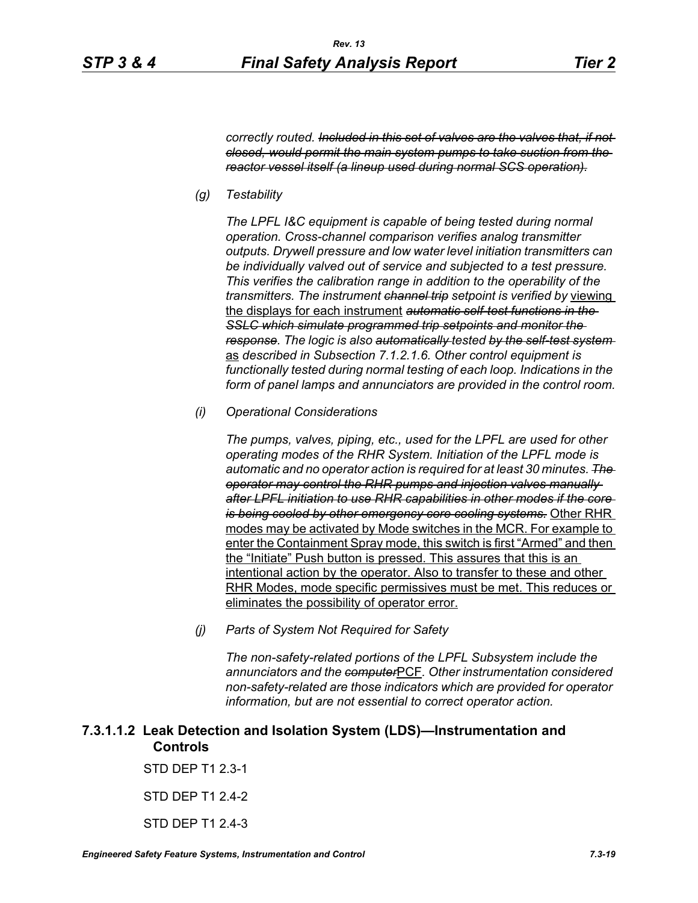*correctly routed. Included in this set of valves are the valves that, if not closed, would permit the main system pumps to take suction from the reactor vessel itself (a lineup used during normal SCS operation).*

*(g) Testability*

*The LPFL I&C equipment is capable of being tested during normal operation. Cross-channel comparison verifies analog transmitter outputs. Drywell pressure and low water level initiation transmitters can be individually valved out of service and subjected to a test pressure. This verifies the calibration range in addition to the operability of the transmitters. The instrument channel trip setpoint is verified by* viewing the displays for each instrument *automatic self-test functions in the SSLC which simulate programmed trip setpoints and monitor the response. The logic is also automatically tested by the self-test system*  as *described in Subsection 7.1.2.1.6. Other control equipment is functionally tested during normal testing of each loop. Indications in the form of panel lamps and annunciators are provided in the control room.*

*(i) Operational Considerations*

*The pumps, valves, piping, etc., used for the LPFL are used for other operating modes of the RHR System. Initiation of the LPFL mode is automatic and no operator action is required for at least 30 minutes. The operator may control the RHR pumps and injection valves manually after LPFL initiation to use RHR capabilities in other modes if the core is being cooled by other emergency core cooling systems.* Other RHR modes may be activated by Mode switches in the MCR. For example to enter the Containment Spray mode, this switch is first "Armed" and then the "Initiate" Push button is pressed. This assures that this is an intentional action by the operator. Also to transfer to these and other RHR Modes, mode specific permissives must be met. This reduces or eliminates the possibility of operator error.

*(j) Parts of System Not Required for Safety*

*The non-safety-related portions of the LPFL Subsystem include the annunciators and the computer*PCF*. Other instrumentation considered non-safety-related are those indicators which are provided for operator information, but are not essential to correct operator action.*

# **7.3.1.1.2 Leak Detection and Isolation System (LDS)—Instrumentation and Controls**

STD DEP T1 2.3-1

#### STD DEP T1 2.4-2

STD DEP T1 2.4-3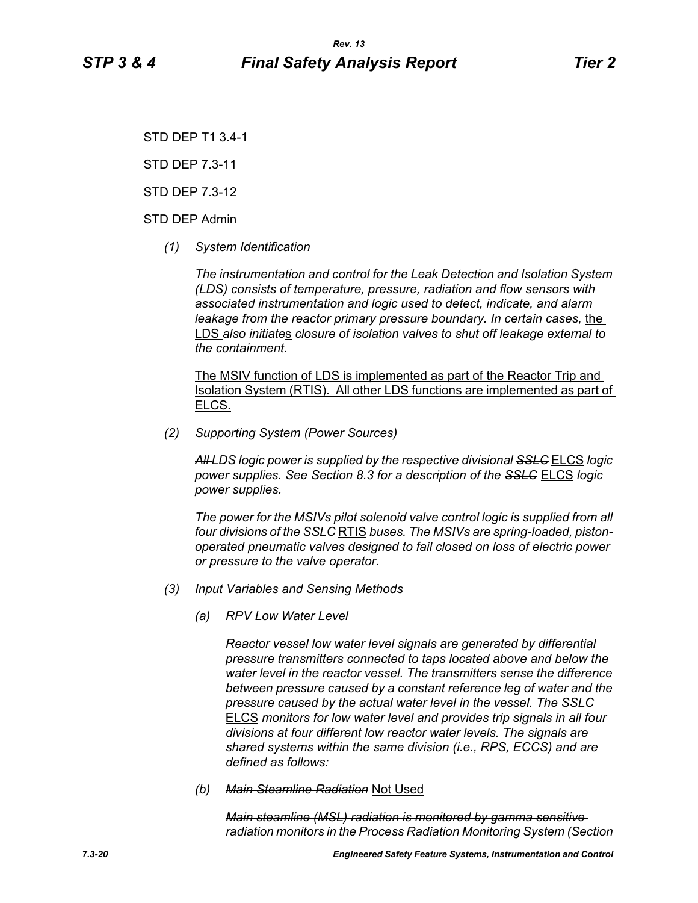STD DEP T1 3.4-1

STD DEP 7.3-11

STD DEP 7.3-12

## STD DEP Admin

*(1) System Identification*

*The instrumentation and control for the Leak Detection and Isolation System (LDS) consists of temperature, pressure, radiation and flow sensors with associated instrumentation and logic used to detect, indicate, and alarm leakage from the reactor primary pressure boundary. In certain cases, the* LDS *also initiate*s *closure of isolation valves to shut off leakage external to the containment.*

The MSIV function of LDS is implemented as part of the Reactor Trip and Isolation System (RTIS). All other LDS functions are implemented as part of ELCS.

*(2) Supporting System (Power Sources)*

*All LDS logic power is supplied by the respective divisional SSLC* ELCS *logic power supplies. See Section 8.3 for a description of the SSLC* ELCS *logic power supplies.*

*The power for the MSIVs pilot solenoid valve control logic is supplied from all four divisions of the SSLC* RTIS *buses. The MSIVs are spring-loaded, pistonoperated pneumatic valves designed to fail closed on loss of electric power or pressure to the valve operator.*

- *(3) Input Variables and Sensing Methods*
	- *(a) RPV Low Water Level*

*Reactor vessel low water level signals are generated by differential pressure transmitters connected to taps located above and below the water level in the reactor vessel. The transmitters sense the difference between pressure caused by a constant reference leg of water and the pressure caused by the actual water level in the vessel. The SSLC* ELCS *monitors for low water level and provides trip signals in all four divisions at four different low reactor water levels. The signals are shared systems within the same division (i.e., RPS, ECCS) and are defined as follows:*

*(b) Main Steamline Radiation* Not Used

*Main steamline (MSL) radiation is monitored by gamma sensitive radiation monitors in the Process Radiation Monitoring System (Section*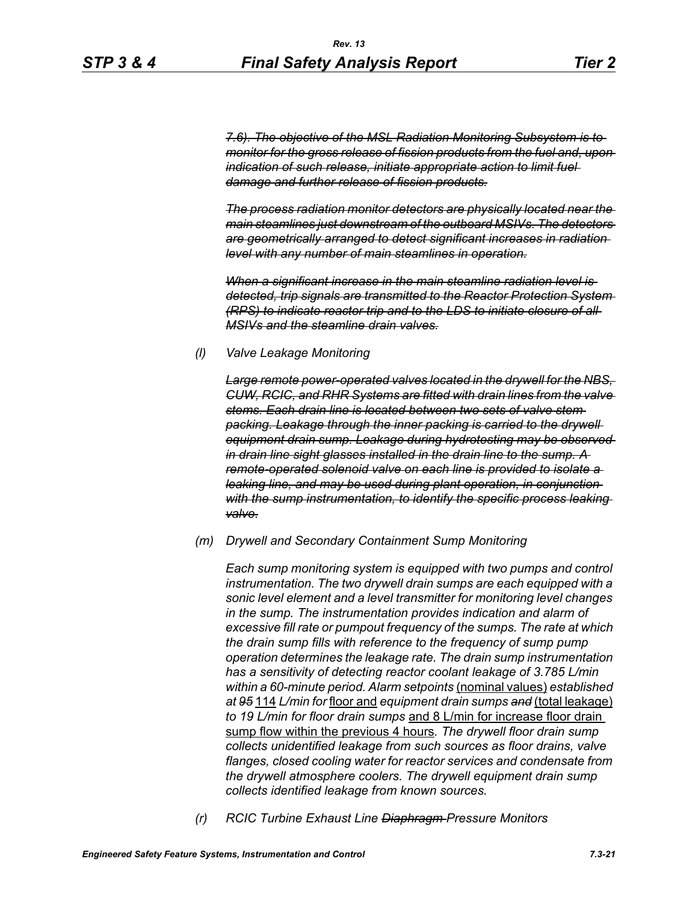*7.6). The objective of the MSL Radiation Monitoring Subsystem is to monitor for the gross release of fission products from the fuel and, upon indication of such release, initiate appropriate action to limit fuel damage and further release of fission products.*

*The process radiation monitor detectors are physically located near the main steamlines just downstream of the outboard MSIVs. The detectors are geometrically arranged to detect significant increases in radiation level with any number of main steamlines in operation.*

*When a significant increase in the main steamline radiation level is detected, trip signals are transmitted to the Reactor Protection System (RPS) to indicate reactor trip and to the LDS to initiate closure of all MSIVs and the steamline drain valves.*

#### *(l) Valve Leakage Monitoring*

*Large remote power-operated valves located in the drywell for the NBS, CUW, RCIC, and RHR Systems are fitted with drain lines from the valve stems. Each drain line is located between two sets of valve stem packing. Leakage through the inner packing is carried to the drywell equipment drain sump. Leakage during hydrotesting may be observed in drain line sight glasses installed in the drain line to the sump. A remote-operated solenoid valve on each line is provided to isolate a leaking line, and may be used during plant operation, in conjunction with the sump instrumentation, to identify the specific process leaking valve.*

#### *(m) Drywell and Secondary Containment Sump Monitoring*

*Each sump monitoring system is equipped with two pumps and control instrumentation. The two drywell drain sumps are each equipped with a sonic level element and a level transmitter for monitoring level changes in the sump. The instrumentation provides indication and alarm of excessive fill rate or pumpout frequency of the sumps. The rate at which the drain sump fills with reference to the frequency of sump pump operation determines the leakage rate. The drain sump instrumentation has a sensitivity of detecting reactor coolant leakage of 3.785 L/min within a 60-minute period. Alarm setpoints* (nominal values) *established at 95* 114 *L/min for* floor and *equipment drain sumps and* (total leakage) *to 19 L/min for floor drain sumps* and 8 L/min for increase floor drain sump flow within the previous 4 hours*. The drywell floor drain sump collects unidentified leakage from such sources as floor drains, valve flanges, closed cooling water for reactor services and condensate from the drywell atmosphere coolers. The drywell equipment drain sump collects identified leakage from known sources.*

*(r) RCIC Turbine Exhaust Line Diaphragm Pressure Monitors*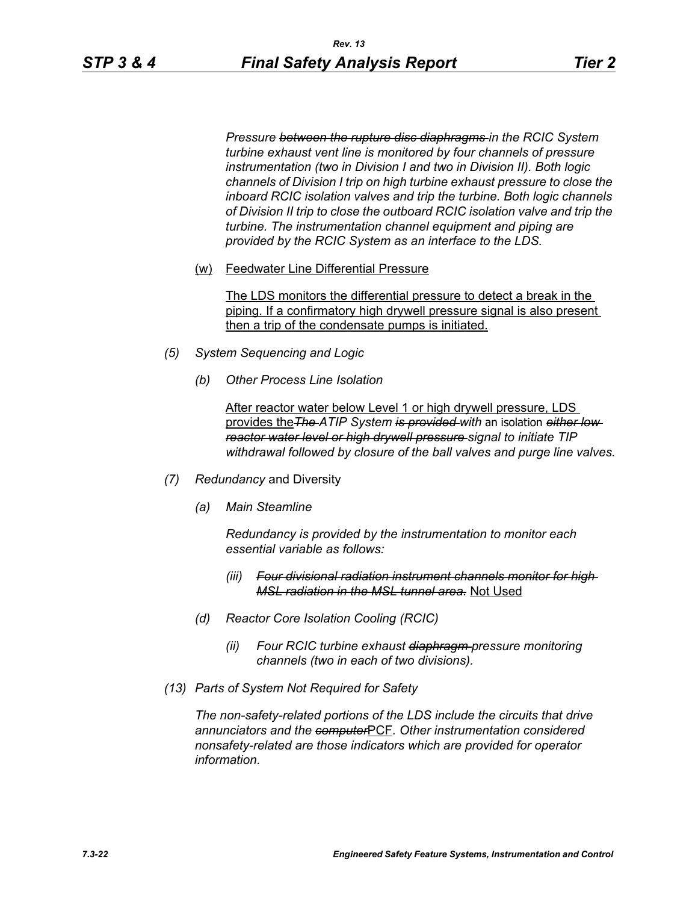*Pressure between the rupture disc diaphragms in the RCIC System turbine exhaust vent line is monitored by four channels of pressure instrumentation (two in Division I and two in Division II). Both logic channels of Division I trip on high turbine exhaust pressure to close the inboard RCIC isolation valves and trip the turbine. Both logic channels of Division II trip to close the outboard RCIC isolation valve and trip the turbine. The instrumentation channel equipment and piping are provided by the RCIC System as an interface to the LDS.*

(w) Feedwater Line Differential Pressure

The LDS monitors the differential pressure to detect a break in the piping. If a confirmatory high drywell pressure signal is also present then a trip of the condensate pumps is initiated.

- *(5) System Sequencing and Logic*
	- *(b) Other Process Line Isolation*

After reactor water below Level 1 or high drywell pressure, LDS provides the*The ATIP System is provided with* an isolation *either low reactor water level or high drywell pressure signal to initiate TIP withdrawal followed by closure of the ball valves and purge line valves.*

- *(7) Redundancy* and Diversity
	- *(a) Main Steamline*

*Redundancy is provided by the instrumentation to monitor each essential variable as follows:*

- *(iii) Four divisional radiation instrument channels monitor for high MSL radiation in the MSL tunnel area.* Not Used
- *(d) Reactor Core Isolation Cooling (RCIC)*
	- *(ii) Four RCIC turbine exhaust diaphragm pressure monitoring channels (two in each of two divisions).*
- *(13) Parts of System Not Required for Safety*

*The non-safety-related portions of the LDS include the circuits that drive annunciators and the computer*PCF*. Other instrumentation considered nonsafety-related are those indicators which are provided for operator information.*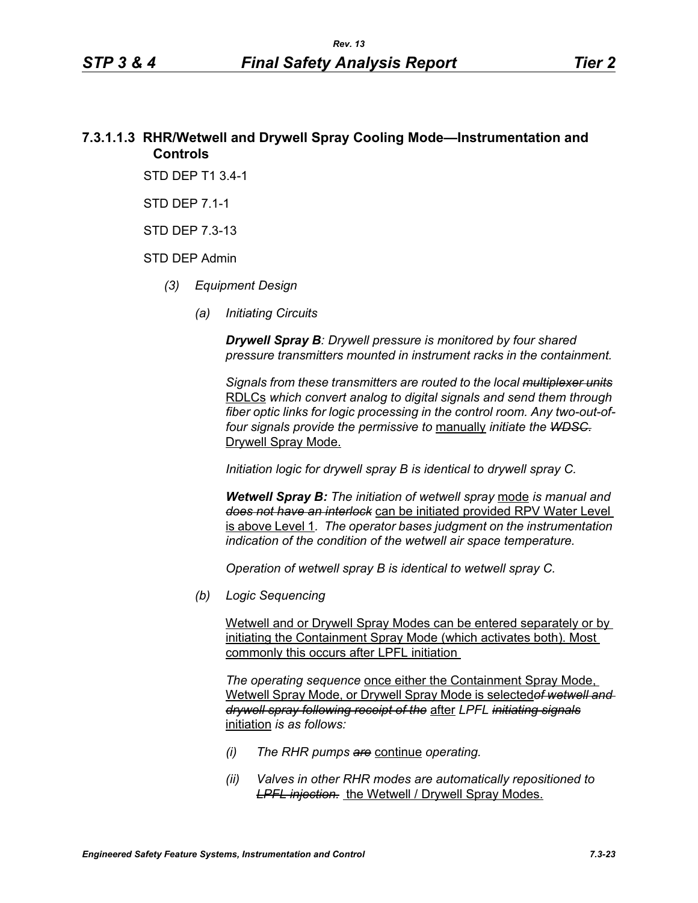# **7.3.1.1.3 RHR/Wetwell and Drywell Spray Cooling Mode—Instrumentation and Controls**

STD DEP T1 3.4-1

STD DEP 7.1-1

STD DEP 7.3-13

#### STD DEP Admin

- *(3) Equipment Design*
	- *(a) Initiating Circuits*

*Drywell Spray B: Drywell pressure is monitored by four shared pressure transmitters mounted in instrument racks in the containment.* 

*Signals from these transmitters are routed to the local multiplexer units* RDLCs *which convert analog to digital signals and send them through fiber optic links for logic processing in the control room. Any two-out-offour signals provide the permissive to* manually *initiate the WDSC.* Drywell Spray Mode.

*Initiation logic for drywell spray B is identical to drywell spray C.*

*Wetwell Spray B: The initiation of wetwell spray* mode *is manual and does not have an interlock* can be initiated provided RPV Water Level is above Level 1*. The operator bases judgment on the instrumentation indication of the condition of the wetwell air space temperature.*

*Operation of wetwell spray B is identical to wetwell spray C.*

*(b) Logic Sequencing*

Wetwell and or Drywell Spray Modes can be entered separately or by initiating the Containment Spray Mode (which activates both). Most commonly this occurs after LPFL initiation

*The operating sequence* once either the Containment Spray Mode, Wetwell Spray Mode, or Drywell Spray Mode is selected*of wetwell and drywell spray following receipt of the* after *LPFL initiating signals* initiation *is as follows:*

- *(i) The RHR pumps are* continue *operating.*
- *(ii) Valves in other RHR modes are automatically repositioned to*  **LPFL injection.** the Wetwell / Drywell Spray Modes.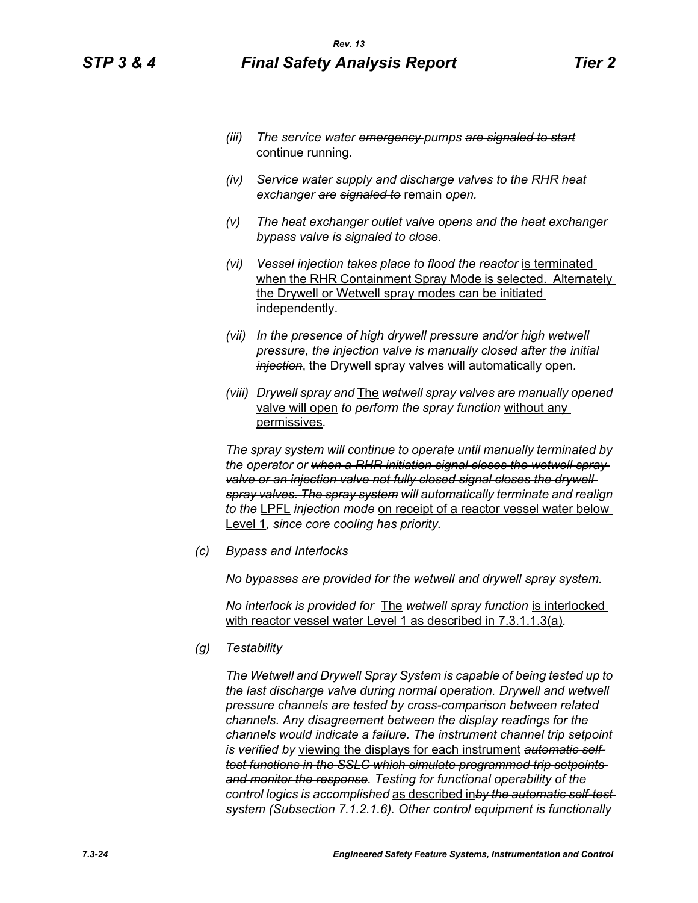- *(iii) The service water emergency pumps are signaled to start* continue running*.*
- *(iv) Service water supply and discharge valves to the RHR heat exchanger are signaled to* remain *open.*
- *(v) The heat exchanger outlet valve opens and the heat exchanger bypass valve is signaled to close.*
- *(vi) Vessel injection takes place to flood the reactor* is terminated when the RHR Containment Spray Mode is selected. Alternately the Drywell or Wetwell spray modes can be initiated independently.
- *(vii) In the presence of high drywell pressure and/or high wetwell pressure, the injection valve is manually closed after the initial injection*, the Drywell spray valves will automatically open*.*
- *(viii) Drywell spray and* The *wetwell spray valves are manually opened* valve will open *to perform the spray function* without any permissives*.*

*The spray system will continue to operate until manually terminated by the operator or when a RHR initiation signal closes the wetwell spray*  valve or an injection valve not fully closed signal closes the drywell *spray valves. The spray system will automatically terminate and realign to the* LPFL *injection mode* on receipt of a reactor vessel water below Level 1*, since core cooling has priority.*

*(c) Bypass and Interlocks*

*No bypasses are provided for the wetwell and drywell spray system.*

*No interlock is provided for* The *wetwell spray function* is interlocked with reactor vessel water Level 1 as described in 7.3.1.1.3(a)*.*

*(g) Testability*

*The Wetwell and Drywell Spray System is capable of being tested up to the last discharge valve during normal operation. Drywell and wetwell pressure channels are tested by cross-comparison between related channels. Any disagreement between the display readings for the channels would indicate a failure. The instrument channel trip setpoint is verified by* viewing the displays for each instrument *automatic selftest functions in the SSLC which simulate programmed trip setpoints and monitor the response. Testing for functional operability of the control logics is accomplished* as described in*by the automatic self-test system (Subsection 7.1.2.1.6). Other control equipment is functionally*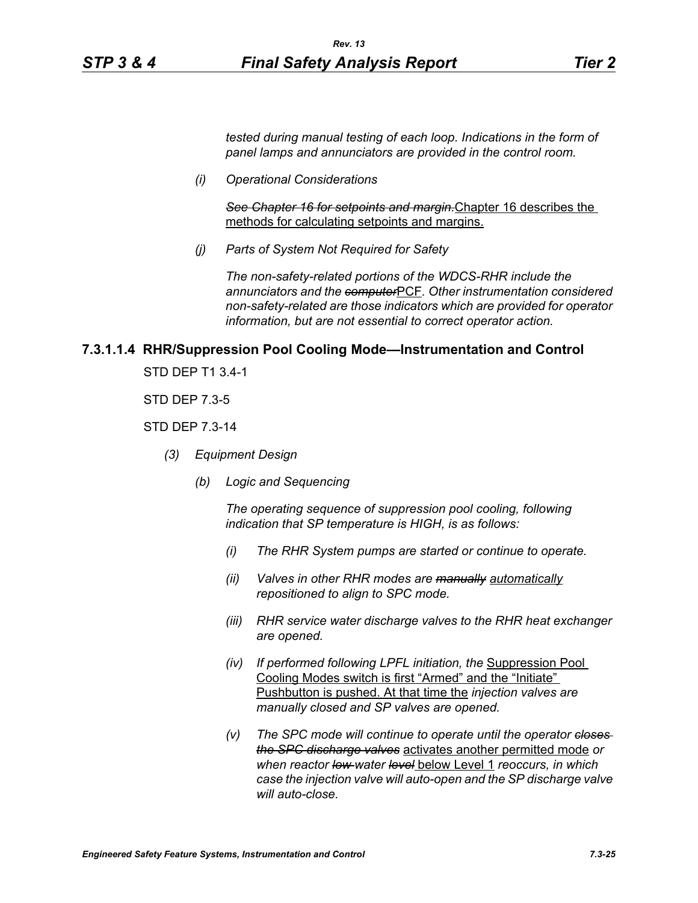*tested during manual testing of each loop. Indications in the form of panel lamps and annunciators are provided in the control room.*

*(i) Operational Considerations*

*See Chapter 16 for setpoints and margin.*Chapter 16 describes the methods for calculating setpoints and margins.

*(j) Parts of System Not Required for Safety*

*The non-safety-related portions of the WDCS-RHR include the annunciators and the computer*PCF*. Other instrumentation considered non-safety-related are those indicators which are provided for operator information, but are not essential to correct operator action.*

#### **7.3.1.1.4 RHR/Suppression Pool Cooling Mode—Instrumentation and Control**

STD DEP T1 3.4-1

STD DEP 7.3-5

STD DEP 7.3-14

- *(3) Equipment Design*
	- *(b) Logic and Sequencing*

*The operating sequence of suppression pool cooling, following indication that SP temperature is HIGH, is as follows:*

- *(i) The RHR System pumps are started or continue to operate.*
- *(ii) Valves in other RHR modes are manually automatically repositioned to align to SPC mode.*
- *(iii) RHR service water discharge valves to the RHR heat exchanger are opened.*
- *(iv) If performed following LPFL initiation, the* Suppression Pool Cooling Modes switch is first "Armed" and the "Initiate" Pushbutton is pushed. At that time the *injection valves are manually closed and SP valves are opened.*
- *(v) The SPC mode will continue to operate until the operator closes the SPC discharge valves* activates another permitted mode *or when reactor low water level* below Level 1 *reoccurs, in which case the injection valve will auto-open and the SP discharge valve will auto-close.*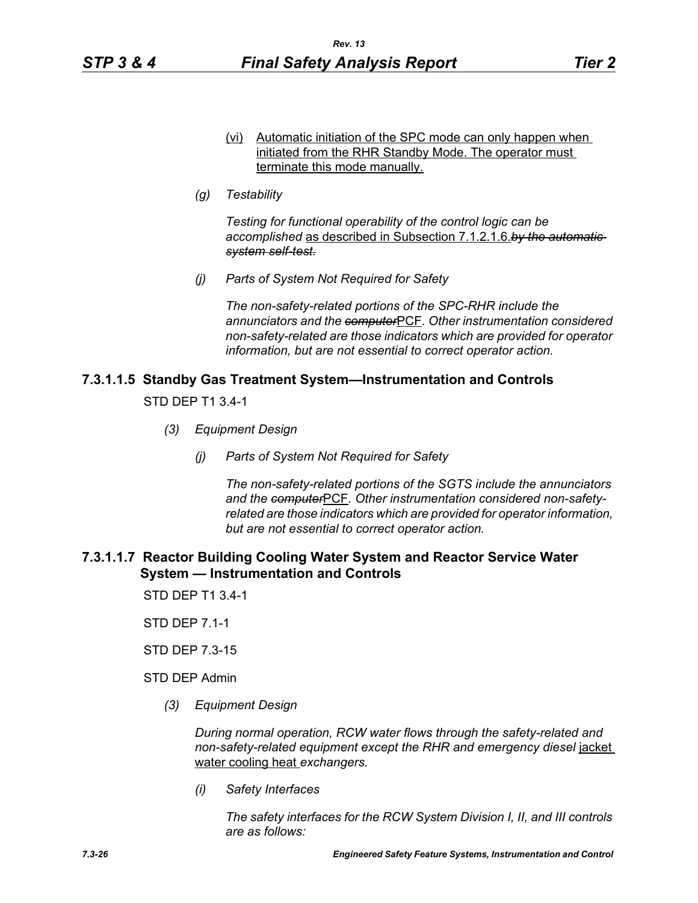*(g) Testability*

*Testing for functional operability of the control logic can be accomplished* as described in Subsection 7.1.2.1.6.*by the automatic system self-test.*

*(j) Parts of System Not Required for Safety*

*The non-safety-related portions of the SPC-RHR include the annunciators and the computer*PCF*. Other instrumentation considered non-safety-related are those indicators which are provided for operator information, but are not essential to correct operator action.*

## **7.3.1.1.5 Standby Gas Treatment System—Instrumentation and Controls**

STD DEP T1 3.4-1

- *(3) Equipment Design*
	- *(j) Parts of System Not Required for Safety*

*The non-safety-related portions of the SGTS include the annunciators and the computer*PCF*. Other instrumentation considered non-safetyrelated are those indicators which are provided for operator information, but are not essential to correct operator action.*

## **7.3.1.1.7 Reactor Building Cooling Water System and Reactor Service Water System — Instrumentation and Controls**

STD DEP T1 3.4-1

STD DEP 7.1-1

STD DEP 7.3-15

STD DEP Admin

*(3) Equipment Design*

*During normal operation, RCW water flows through the safety-related and non-safety-related equipment except the RHR and emergency diesel* jacket water cooling heat *exchangers.*

*(i) Safety Interfaces*

*The safety interfaces for the RCW System Division I, II, and III controls are as follows:*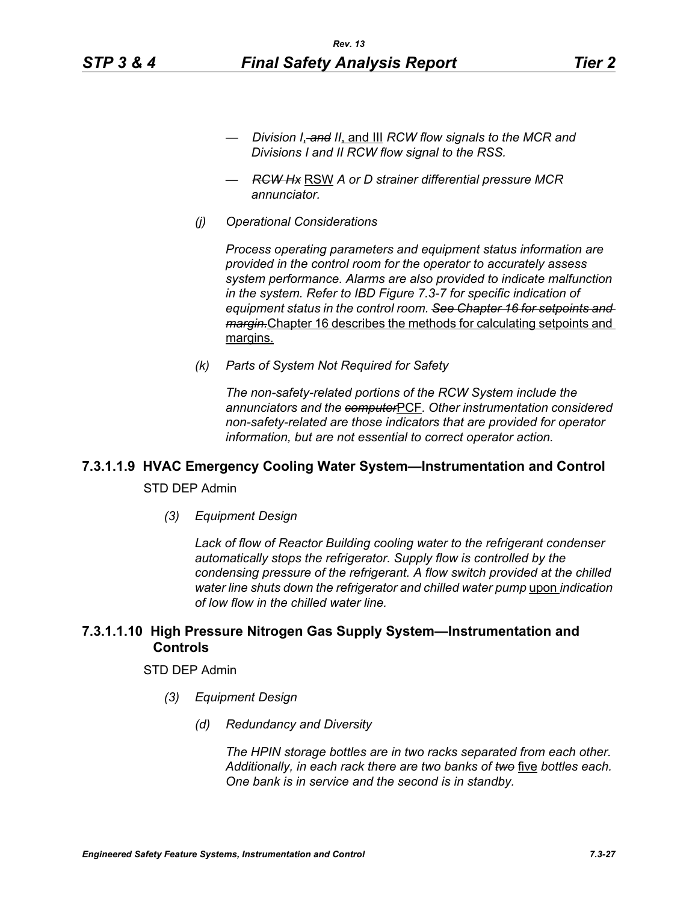- *Division I*, *and II*, and III *RCW flow signals to the MCR and Divisions I and II RCW flow signal to the RSS.*
- *RCW Hx* RSW *A or D strainer differential pressure MCR annunciator.*
- *(j) Operational Considerations*

*Process operating parameters and equipment status information are provided in the control room for the operator to accurately assess system performance. Alarms are also provided to indicate malfunction in the system. Refer to IBD Figure 7.3-7 for specific indication of equipment status in the control room. See Chapter 16 for setpoints and margin.*Chapter 16 describes the methods for calculating setpoints and margins.

*(k) Parts of System Not Required for Safety*

*The non-safety-related portions of the RCW System include the annunciators and the computer*PCF*. Other instrumentation considered non-safety-related are those indicators that are provided for operator information, but are not essential to correct operator action.*

# **7.3.1.1.9 HVAC Emergency Cooling Water System—Instrumentation and Control**

STD DEP Admin

*(3) Equipment Design*

*Lack of flow of Reactor Building cooling water to the refrigerant condenser automatically stops the refrigerator. Supply flow is controlled by the condensing pressure of the refrigerant. A flow switch provided at the chilled water line shuts down the refrigerator and chilled water pump upon indication of low flow in the chilled water line.*

## **7.3.1.1.10 High Pressure Nitrogen Gas Supply System—Instrumentation and Controls**

#### STD DEP Admin

- *(3) Equipment Design*
	- *(d) Redundancy and Diversity*

*The HPIN storage bottles are in two racks separated from each other. Additionally, in each rack there are two banks of two* five *bottles each. One bank is in service and the second is in standby.*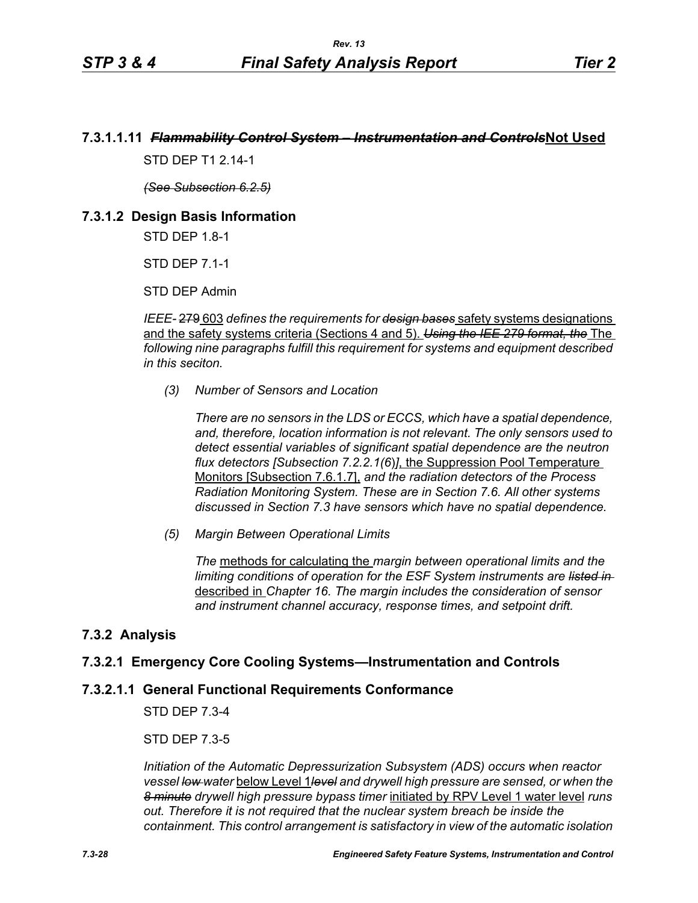# **7.3.1.1.11** *Flammability Control System – Instrumentation and Controls***Not Used**

STD DFP T1 2 14-1

*(See Subsection 6.2.5)*

# **7.3.1.2 Design Basis Information**

STD DEP 1.8-1

STD DEP 7.1-1

STD DEP Admin

*IEEE-* 279 603 *defines the requirements for design bases* safety systems designations and the safety systems criteria (Sections 4 and 5). *Using the IEE 279 format, the* The *following nine paragraphs fulfill this requirement for systems and equipment described in this seciton.*

*(3) Number of Sensors and Location*

*There are no sensors in the LDS or ECCS, which have a spatial dependence, and, therefore, location information is not relevant. The only sensors used to detect essential variables of significant spatial dependence are the neutron flux detectors [Subsection 7.2.2.1(6*)*]*, the Suppression Pool Temperature Monitors [Subsection 7.6.1.7], *and the radiation detectors of the Process Radiation Monitoring System. These are in Section 7.6. All other systems discussed in Section 7.3 have sensors which have no spatial dependence.*

*(5) Margin Between Operational Limits*

*The* methods for calculating the *margin between operational limits and the limiting conditions of operation for the ESF System instruments are listed in*  described in *Chapter 16. The margin includes the consideration of sensor and instrument channel accuracy, response times, and setpoint drift.*

# **7.3.2 Analysis**

# **7.3.2.1 Emergency Core Cooling Systems—Instrumentation and Controls**

## **7.3.2.1.1 General Functional Requirements Conformance**

STD DEP 7.3-4

STD DEP 7.3-5

*Initiation of the Automatic Depressurization Subsystem (ADS) occurs when reactor vessel low water* below Level 1*level and drywell high pressure are sensed, or when the 8 minute drywell high pressure bypass timer* initiated by RPV Level 1 water level *runs out. Therefore it is not required that the nuclear system breach be inside the containment. This control arrangement is satisfactory in view of the automatic isolation*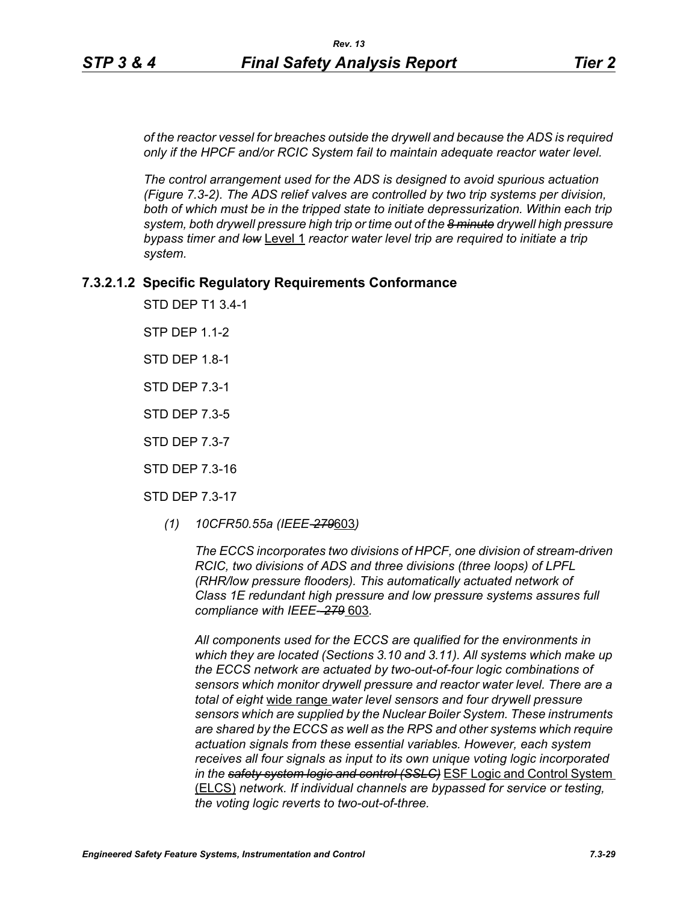*of the reactor vessel for breaches outside the drywell and because the ADS is required only if the HPCF and/or RCIC System fail to maintain adequate reactor water level.*

*The control arrangement used for the ADS is designed to avoid spurious actuation (Figure 7.3-2). The ADS relief valves are controlled by two trip systems per division,*  both of which must be in the tripped state to initiate depressurization. Within each trip *system, both drywell pressure high trip or time out of the 8 minute drywell high pressure bypass timer and low* Level 1 *reactor water level trip are required to initiate a trip system.*

## **7.3.2.1.2 Specific Regulatory Requirements Conformance**

STD DEP T1 3.4-1

STP DEP 1.1-2

STD DEP 1.8-1

STD DEP 7.3-1

STD DEP 7.3-5

STD DEP 7.3-7

STD DEP 7.3-16

STD DEP 7.3-17

*(1) 10CFR50.55a (IEEE-279*603*)*

*The ECCS incorporates two divisions of HPCF, one division of stream-driven RCIC, two divisions of ADS and three divisions (three loops) of LPFL (RHR/low pressure flooders). This automatically actuated network of Class 1E redundant high pressure and low pressure systems assures full compliance with IEEE- 279* 603*.*

*All components used for the ECCS are qualified for the environments in which they are located (Sections 3.10 and 3.11). All systems which make up the ECCS network are actuated by two-out-of-four logic combinations of sensors which monitor drywell pressure and reactor water level. There are a total of eight* wide range *water level sensors and four drywell pressure sensors which are supplied by the Nuclear Boiler System. These instruments are shared by the ECCS as well as the RPS and other systems which require actuation signals from these essential variables. However, each system receives all four signals as input to its own unique voting logic incorporated in the safety system logic and control (SSLC)* ESF Logic and Control System (ELCS) *network. If individual channels are bypassed for service or testing, the voting logic reverts to two-out-of-three.*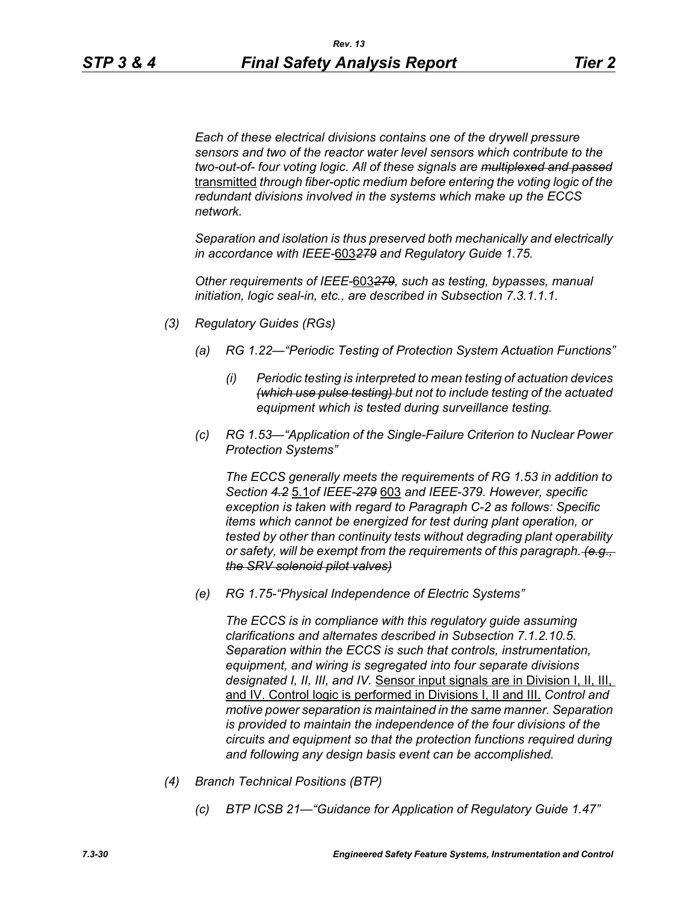*Each of these electrical divisions contains one of the drywell pressure sensors and two of the reactor water level sensors which contribute to the two-out-of- four voting logic. All of these signals are multiplexed and passed* transmitted *through fiber-optic medium before entering the voting logic of the redundant divisions involved in the systems which make up the ECCS network.* 

*Separation and isolation is thus preserved both mechanically and electrically in accordance with IEEE-*603*279 and Regulatory Guide 1.75.*

*Other requirements of IEEE-*603*279, such as testing, bypasses, manual initiation, logic seal-in, etc., are described in Subsection 7.3.1.1.1.*

- *(3) Regulatory Guides (RGs)*
	- *(a) RG 1.22—"Periodic Testing of Protection System Actuation Functions"*
		- *(i) Periodic testing is interpreted to mean testing of actuation devices (which use pulse testing) but not to include testing of the actuated equipment which is tested during surveillance testing.*
	- *(c) RG 1.53—"Application of the Single-Failure Criterion to Nuclear Power Protection Systems"*

*The ECCS generally meets the requirements of RG 1.53 in addition to Section 4.2* 5.1*of IEEE-279* 603 *and IEEE-379. However, specific exception is taken with regard to Paragraph C-2 as follows: Specific items which cannot be energized for test during plant operation, or tested by other than continuity tests without degrading plant operability or safety, will be exempt from the requirements of this paragraph. (e.g., the SRV solenoid pilot valves)*

*(e) RG 1.75-"Physical Independence of Electric Systems"*

*The ECCS is in compliance with this regulatory guide assuming clarifications and alternates described in Subsection 7.1.2.10.5. Separation within the ECCS is such that controls, instrumentation, equipment, and wiring is segregated into four separate divisions designated I, II, III, and IV.* Sensor input signals are in Division I, II, III, and IV. Control logic is performed in Divisions I, II and III. *Control and motive power separation is maintained in the same manner. Separation is provided to maintain the independence of the four divisions of the circuits and equipment so that the protection functions required during and following any design basis event can be accomplished.*

- *(4) Branch Technical Positions (BTP)*
	- *(c) BTP ICSB 21—"Guidance for Application of Regulatory Guide 1.47"*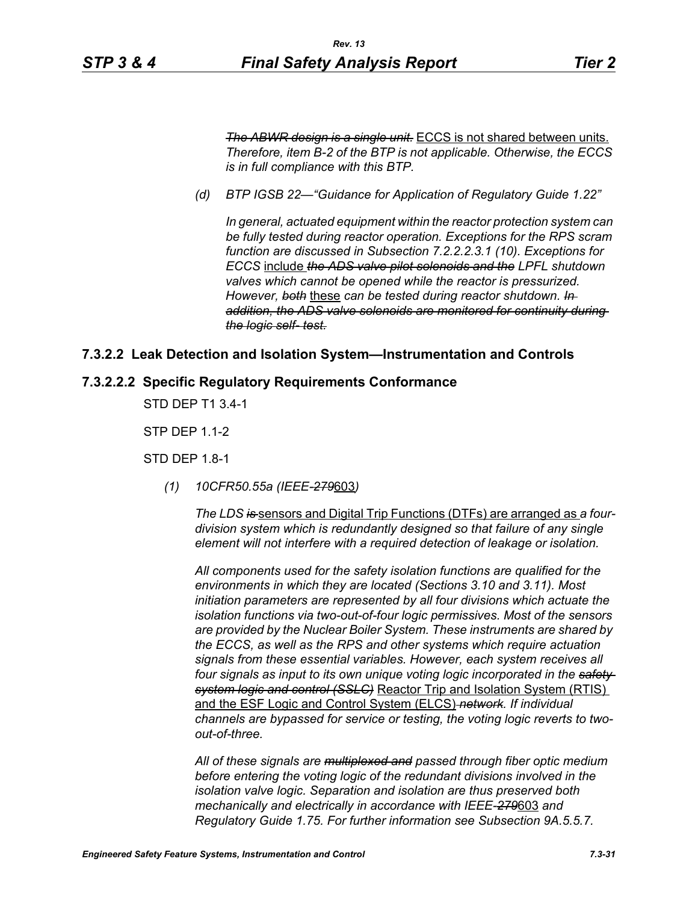*The ABWR design is a single unit.* ECCS is not shared between units. *Therefore, item B-2 of the BTP is not applicable. Otherwise, the ECCS is in full compliance with this BTP.*

*(d) BTP IGSB 22—"Guidance for Application of Regulatory Guide 1.22"*

*In general, actuated equipment within the reactor protection system can be fully tested during reactor operation. Exceptions for the RPS scram function are discussed in Subsection 7.2.2.2.3.1 (10). Exceptions for ECCS* include *the ADS valve pilot solenoids and the LPFL shutdown valves which cannot be opened while the reactor is pressurized. However, both* these *can be tested during reactor shutdown. In addition, the ADS valve solenoids are monitored for continuity during the logic self- test.*

## **7.3.2.2 Leak Detection and Isolation System—Instrumentation and Controls**

#### **7.3.2.2.2 Specific Regulatory Requirements Conformance**

STD DEP T1 3.4-1

STP DEP 1.1-2

STD DEP 1.8-1

*(1) 10CFR50.55a (IEEE-279*603*)*

*The LDS is* sensors and Digital Trip Functions (DTFs) are arranged as *a fourdivision system which is redundantly designed so that failure of any single element will not interfere with a required detection of leakage or isolation.*

*All components used for the safety isolation functions are qualified for the environments in which they are located (Sections 3.10 and 3.11). Most initiation parameters are represented by all four divisions which actuate the isolation functions via two-out-of-four logic permissives. Most of the sensors are provided by the Nuclear Boiler System. These instruments are shared by the ECCS, as well as the RPS and other systems which require actuation signals from these essential variables. However, each system receives all four signals as input to its own unique voting logic incorporated in the safety system logic and control (SSLC)* Reactor Trip and Isolation System (RTIS) and the ESF Logic and Control System (ELCS) *network. If individual channels are bypassed for service or testing, the voting logic reverts to twoout-of-three.*

*All of these signals are multiplexed and passed through fiber optic medium before entering the voting logic of the redundant divisions involved in the isolation valve logic. Separation and isolation are thus preserved both mechanically and electrically in accordance with IEEE-279*603 *and Regulatory Guide 1.75. For further information see Subsection 9A.5.5.7.*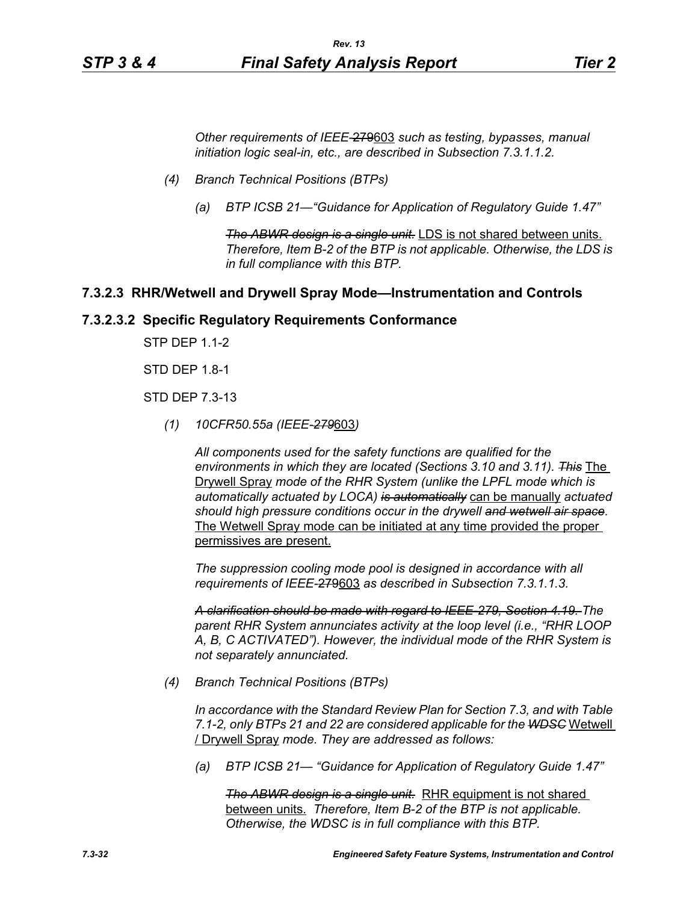*Other requirements of IEEE-*279603 *such as testing, bypasses, manual initiation logic seal-in, etc., are described in Subsection 7.3.1.1.2.*

- *(4) Branch Technical Positions (BTPs)*
	- *(a) BTP ICSB 21—"Guidance for Application of Regulatory Guide 1.47"*

*The ABWR design is a single unit.* LDS is not shared between units. *Therefore, Item B-2 of the BTP is not applicable. Otherwise, the LDS is in full compliance with this BTP.*

#### **7.3.2.3 RHR/Wetwell and Drywell Spray Mode—Instrumentation and Controls**

#### **7.3.2.3.2 Specific Regulatory Requirements Conformance**

STP DEP 1.1-2

STD DEP 1.8-1

STD DEP 7.3-13

*(1) 10CFR50.55a (IEEE-279*603*)*

*All components used for the safety functions are qualified for the environments in which they are located (Sections 3.10 and 3.11). This* The Drywell Spray *mode of the RHR System (unlike the LPFL mode which is automatically actuated by LOCA) is automatically* can be manually *actuated should high pressure conditions occur in the drywell and wetwell air space.* The Wetwell Spray mode can be initiated at any time provided the proper permissives are present.

*The suppression cooling mode pool is designed in accordance with all requirements of IEEE-*279603 *as described in Subsection 7.3.1.1.3.*

*A clarification should be made with regard to IEEE-279, Section 4.19. The parent RHR System annunciates activity at the loop level (i.e., "RHR LOOP A, B, C ACTIVATED"). However, the individual mode of the RHR System is not separately annunciated.*

*(4) Branch Technical Positions (BTPs)*

*In accordance with the Standard Review Plan for Section 7.3, and with Table 7.1-2, only BTPs 21 and 22 are considered applicable for the WDSC* Wetwell / Drywell Spray *mode. They are addressed as follows:*

*(a) BTP ICSB 21— "Guidance for Application of Regulatory Guide 1.47"*

**The ABWR design is a single unit.** RHR equipment is not shared between units. *Therefore, Item B-2 of the BTP is not applicable. Otherwise, the WDSC is in full compliance with this BTP.*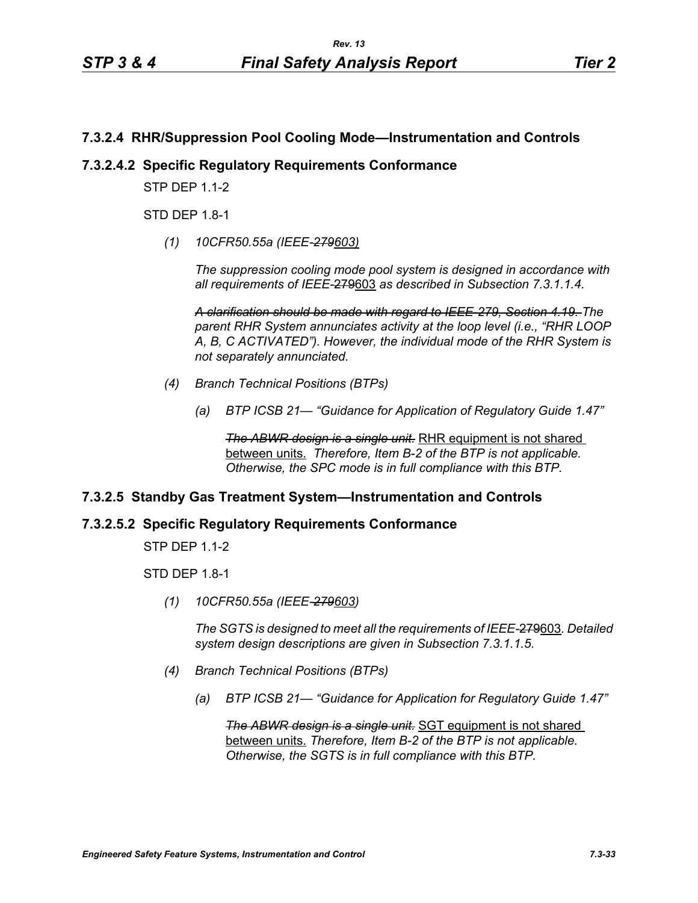## **7.3.2.4 RHR/Suppression Pool Cooling Mode—Instrumentation and Controls**

## **7.3.2.4.2 Specific Regulatory Requirements Conformance**

**STP DFP 1 1-2** 

STD DEP 1.8-1

*(1) 10CFR50.55a (IEEE-279603)*

*The suppression cooling mode pool system is designed in accordance with all requirements of IEEE-*279603 *as described in Subsection 7.3.1.1.4.*

*A clarification should be made with regard to IEEE-279, Section 4.19. The parent RHR System annunciates activity at the loop level (i.e., "RHR LOOP A, B, C ACTIVATED"). However, the individual mode of the RHR System is not separately annunciated.*

- *(4) Branch Technical Positions (BTPs)*
	- *(a) BTP ICSB 21— "Guidance for Application of Regulatory Guide 1.47"*

**The ABWR design is a single unit.** RHR equipment is not shared between units. *Therefore, Item B-2 of the BTP is not applicable. Otherwise, the SPC mode is in full compliance with this BTP.*

## **7.3.2.5 Standby Gas Treatment System—Instrumentation and Controls**

## **7.3.2.5.2 Specific Regulatory Requirements Conformance**

STP DEP 1.1-2

**STD DFP 18-1** 

*(1) 10CFR50.55a (IEEE-279603)*

*The SGTS is designed to meet all the requirements of IEEE-*279603*. Detailed system design descriptions are given in Subsection 7.3.1.1.5.*

- *(4) Branch Technical Positions (BTPs)*
	- *(a) BTP ICSB 21— "Guidance for Application for Regulatory Guide 1.47"*

*The ABWR design is a single unit.* SGT equipment is not shared between units. *Therefore, Item B-2 of the BTP is not applicable. Otherwise, the SGTS is in full compliance with this BTP.*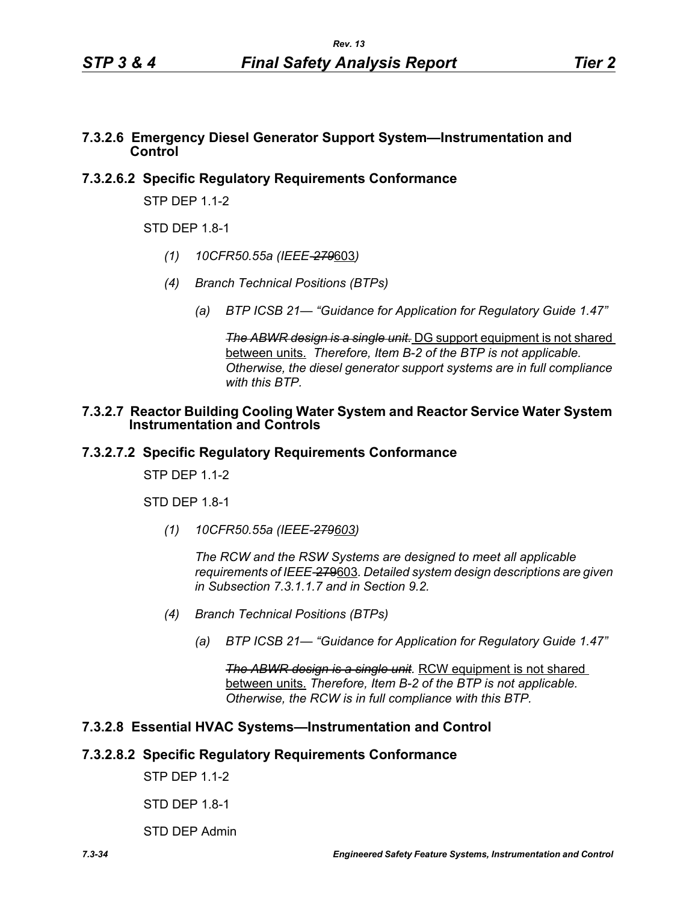## **7.3.2.6 Emergency Diesel Generator Support System—Instrumentation and Control**

## **7.3.2.6.2 Specific Regulatory Requirements Conformance**

STP DEP 1.1-2

STD DFP 18-1

- *(1) 10CFR50.55a (IEEE-279*603*)*
- *(4) Branch Technical Positions (BTPs)*
	- *(a) BTP ICSB 21— "Guidance for Application for Regulatory Guide 1.47"*

*The ABWR design is a single unit.* DG support equipment is not shared between units. *Therefore, Item B-2 of the BTP is not applicable. Otherwise, the diesel generator support systems are in full compliance with this BTP.*

#### **7.3.2.7 Reactor Building Cooling Water System and Reactor Service Water System Instrumentation and Controls**

## **7.3.2.7.2 Specific Regulatory Requirements Conformance**

**STP DFP 1 1-2** 

STD DEP 1.8-1

*(1) 10CFR50.55a (IEEE-279603)*

*The RCW and the RSW Systems are designed to meet all applicable requirements of IEEE-*279603*. Detailed system design descriptions are given in Subsection 7.3.1.1.7 and in Section 9.2.*

- *(4) Branch Technical Positions (BTPs)*
	- *(a) BTP ICSB 21— "Guidance for Application for Regulatory Guide 1.47"*

**The ABWR design is a single unit.** RCW equipment is not shared between units. *Therefore, Item B-2 of the BTP is not applicable. Otherwise, the RCW is in full compliance with this BTP.*

# **7.3.2.8 Essential HVAC Systems—Instrumentation and Control**

## **7.3.2.8.2 Specific Regulatory Requirements Conformance**

STP DEP 1.1-2

STD DEP 1.8-1

STD DEP Admin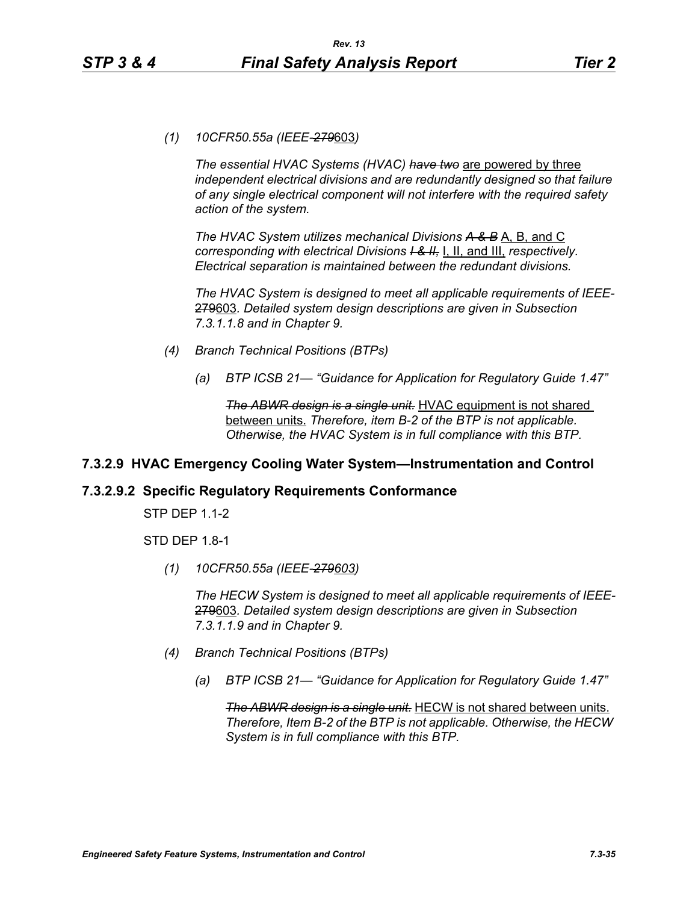*(1) 10CFR50.55a (IEEE-279*603*)*

*The essential HVAC Systems (HVAC) have two* are powered by three *independent electrical divisions and are redundantly designed so that failure of any single electrical component will not interfere with the required safety action of the system.*

*The HVAC System utilizes mechanical Divisions A & B* A, B, and C *corresponding with electrical Divisions I & II,* I, II, and III, *respectively. Electrical separation is maintained between the redundant divisions.*

*The HVAC System is designed to meet all applicable requirements of IEEE-*279603*. Detailed system design descriptions are given in Subsection 7.3.1.1.8 and in Chapter 9.*

- *(4) Branch Technical Positions (BTPs)*
	- *(a) BTP ICSB 21— "Guidance for Application for Regulatory Guide 1.47"*

*The ABWR design is a single unit.* HVAC equipment is not shared between units. *Therefore, item B-2 of the BTP is not applicable. Otherwise, the HVAC System is in full compliance with this BTP.*

# **7.3.2.9 HVAC Emergency Cooling Water System—Instrumentation and Control**

## **7.3.2.9.2 Specific Regulatory Requirements Conformance**

STP DEP 1.1-2

STD DEP 1.8-1

*(1) 10CFR50.55a (IEEE-279603)*

*The HECW System is designed to meet all applicable requirements of IEEE-*279603*. Detailed system design descriptions are given in Subsection 7.3.1.1.9 and in Chapter 9.*

- *(4) Branch Technical Positions (BTPs)*
	- *(a) BTP ICSB 21— "Guidance for Application for Regulatory Guide 1.47"*

*The ABWR design is a single unit.* HECW is not shared between units. *Therefore, Item B-2 of the BTP is not applicable. Otherwise, the HECW System is in full compliance with this BTP.*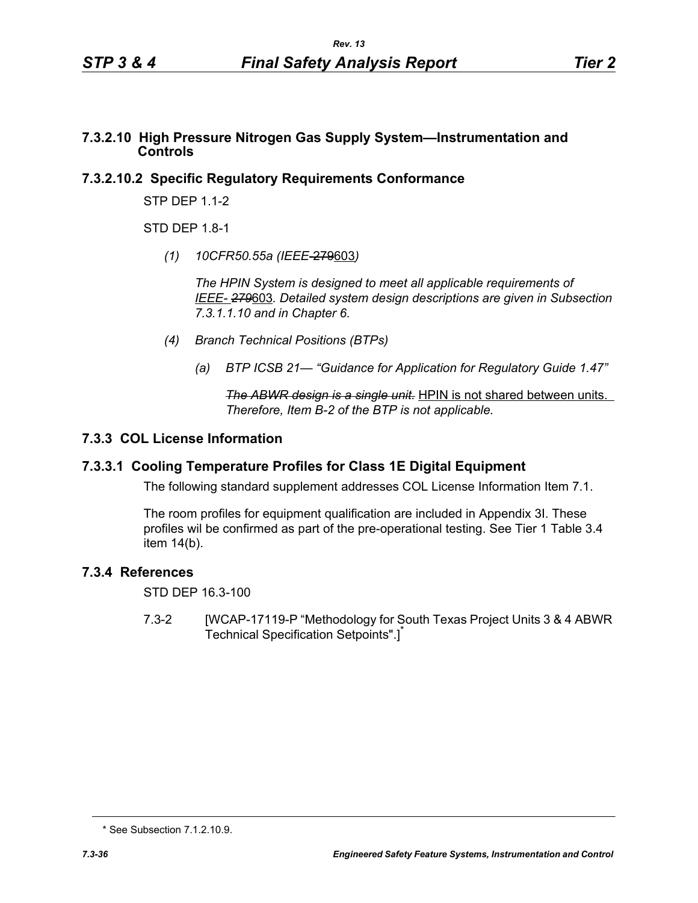## **7.3.2.10 High Pressure Nitrogen Gas Supply System—Instrumentation and Controls**

# **7.3.2.10.2 Specific Regulatory Requirements Conformance**

STP DEP 1.1-2

STD DFP 18-1

*(1) 10CFR50.55a (IEEE*-279603*)*

*The HPIN System is designed to meet all applicable requirements of IEEE- 279*603*. Detailed system design descriptions are given in Subsection 7.3.1.1.10 and in Chapter 6.*

- *(4) Branch Technical Positions (BTPs)*
	- *(a) BTP ICSB 21— "Guidance for Application for Regulatory Guide 1.47"*

*The ABWR design is a single unit.* HPIN is not shared between units. *Therefore, Item B-2 of the BTP is not applicable.* 

# **7.3.3 COL License Information**

# **7.3.3.1 Cooling Temperature Profiles for Class 1E Digital Equipment**

The following standard supplement addresses COL License Information Item 7.1.

The room profiles for equipment qualification are included in Appendix 3I. These profiles wil be confirmed as part of the pre-operational testing. See Tier 1 Table 3.4 item 14(b).

# **7.3.4 References**

STD DEP 16.3-100

7.3-2 [WCAP-17119-P "Methodology for South Texas Project Units 3 & 4 ABWR Technical Specification Setpoints".]<sup>\*</sup>

<sup>\*</sup> See Subsection 7.1.2.10.9.